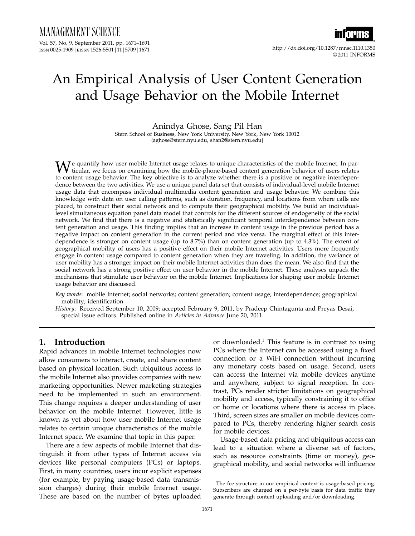# An Empirical Analysis of User Content Generation and Usage Behavior on the Mobile Internet

Anindya Ghose, Sang Pil Han Stern School of Business, New York University, New York, New York 10012 {aghose@stern.nyu.edu, shan2@stern.nyu.edu}

We quantify how user mobile Internet usage relates to unique characteristics of the mobile Internet. In particular, we focus on examining how the mobile-phone-based content generation behavior of users relates to a particu to content usage behavior. The key objective is to analyze whether there is a positive or negative interdependence between the two activities. We use a unique panel data set that consists of individual-level mobile Internet usage data that encompass individual multimedia content generation and usage behavior. We combine this knowledge with data on user calling patterns, such as duration, frequency, and locations from where calls are placed, to construct their social network and to compute their geographical mobility. We build an individuallevel simultaneous equation panel data model that controls for the different sources of endogeneity of the social network. We find that there is a negative and statistically significant temporal interdependence between content generation and usage. This finding implies that an increase in content usage in the previous period has a negative impact on content generation in the current period and vice versa. The marginal effect of this interdependence is stronger on content usage (up to 8.7%) than on content generation (up to 4.3%). The extent of geographical mobility of users has a positive effect on their mobile Internet activities. Users more frequently engage in content usage compared to content generation when they are traveling. In addition, the variance of user mobility has a stronger impact on their mobile Internet activities than does the mean. We also find that the social network has a strong positive effect on user behavior in the mobile Internet. These analyses unpack the mechanisms that stimulate user behavior on the mobile Internet. Implications for shaping user mobile Internet usage behavior are discussed.

Key words: mobile Internet; social networks; content generation; content usage; interdependence; geographical mobility; identification

History: Received September 10, 2009; accepted February 9, 2011, by Pradeep Chintagunta and Preyas Desai, special issue editors. Published online in Articles in Advance June 20, 2011.

# 1. Introduction

Rapid advances in mobile Internet technologies now allow consumers to interact, create, and share content based on physical location. Such ubiquitous access to the mobile Internet also provides companies with new marketing opportunities. Newer marketing strategies need to be implemented in such an environment. This change requires a deeper understanding of user behavior on the mobile Internet. However, little is known as yet about how user mobile Internet usage relates to certain unique characteristics of the mobile Internet space. We examine that topic in this paper.

There are a few aspects of mobile Internet that distinguish it from other types of Internet access via devices like personal computers (PCs) or laptops. First, in many countries, users incur explicit expenses (for example, by paying usage-based data transmission charges) during their mobile Internet usage. These are based on the number of bytes uploaded or downloaded. $<sup>1</sup>$  This feature is in contrast to using</sup> PCs where the Internet can be accessed using a fixed connection or a WiFi connection without incurring any monetary costs based on usage. Second, users can access the Internet via mobile devices anytime and anywhere, subject to signal reception. In contrast, PCs render stricter limitations on geographical mobility and access, typically constraining it to office or home or locations where there is access in place. Third, screen sizes are smaller on mobile devices compared to PCs, thereby rendering higher search costs for mobile devices.

Usage-based data pricing and ubiquitous access can lead to a situation where a diverse set of factors, such as resource constraints (time or money), geographical mobility, and social networks will influence

<sup>&</sup>lt;sup>1</sup> The fee structure in our empirical context is usage-based pricing. Subscribers are charged on a per-byte basis for data traffic they generate through content uploading and/or downloading.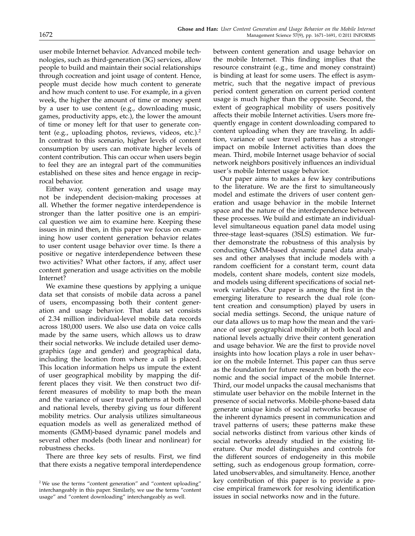user mobile Internet behavior. Advanced mobile technologies, such as third-generation (3G) services, allow people to build and maintain their social relationships through cocreation and joint usage of content. Hence, people must decide how much content to generate and how much content to use. For example, in a given week, the higher the amount of time or money spent by a user to use content (e.g., downloading music, games, productivity apps, etc.), the lower the amount of time or money left for that user to generate content (e.g., uploading photos, reviews, videos, etc.).<sup>2</sup> In contrast to this scenario, higher levels of content consumption by users can motivate higher levels of content contribution. This can occur when users begin to feel they are an integral part of the communities established on these sites and hence engage in reciprocal behavior.

Either way, content generation and usage may not be independent decision-making processes at all. Whether the former negative interdependence is stronger than the latter positive one is an empirical question we aim to examine here. Keeping these issues in mind then, in this paper we focus on examining how user content generation behavior relates to user content usage behavior over time. Is there a positive or negative interdependence between these two activities? What other factors, if any, affect user content generation and usage activities on the mobile Internet?

We examine these questions by applying a unique data set that consists of mobile data across a panel of users, encompassing both their content generation and usage behavior. That data set consists of 2.34 million individual-level mobile data records across 180,000 users. We also use data on voice calls made by the same users, which allows us to draw their social networks. We include detailed user demographics (age and gender) and geographical data, including the location from where a call is placed. This location information helps us impute the extent of user geographical mobility by mapping the different places they visit. We then construct two different measures of mobility to map both the mean and the variance of user travel patterns at both local and national levels, thereby giving us four different mobility metrics. Our analysis utilizes simultaneous equation models as well as generalized method of moments (GMM)-based dynamic panel models and several other models (both linear and nonlinear) for robustness checks.

There are three key sets of results. First, we find that there exists a negative temporal interdependence

between content generation and usage behavior on the mobile Internet. This finding implies that the resource constraint (e.g., time and money constraint) is binding at least for some users. The effect is asymmetric, such that the negative impact of previous period content generation on current period content usage is much higher than the opposite. Second, the extent of geographical mobility of users positively affects their mobile Internet activities. Users more frequently engage in content downloading compared to content uploading when they are traveling. In addition, variance of user travel patterns has a stronger impact on mobile Internet activities than does the mean. Third, mobile Internet usage behavior of social network neighbors positively influences an individual user's mobile Internet usage behavior.

Our paper aims to makes a few key contributions to the literature. We are the first to simultaneously model and estimate the drivers of user content generation and usage behavior in the mobile Internet space and the nature of the interdependence between these processes. We build and estimate an individuallevel simultaneous equation panel data model using three-stage least-squares (3SLS) estimation. We further demonstrate the robustness of this analysis by conducting GMM-based dynamic panel data analyses and other analyses that include models with a random coefficient for a constant term, count data models, content share models, content size models, and models using different specifications of social network variables. Our paper is among the first in the emerging literature to research the dual role (content creation and consumption) played by users in social media settings. Second, the unique nature of our data allows us to map how the mean and the variance of user geographical mobility at both local and national levels actually drive their content generation and usage behavior. We are the first to provide novel insights into how location plays a role in user behavior on the mobile Internet. This paper can thus serve as the foundation for future research on both the economic and the social impact of the mobile Internet. Third, our model unpacks the causal mechanisms that stimulate user behavior on the mobile Internet in the presence of social networks. Mobile-phone-based data generate unique kinds of social networks because of the inherent dynamics present in communication and travel patterns of users; these patterns make these social networks distinct from various other kinds of social networks already studied in the existing literature. Our model distinguishes and controls for the different sources of endogeneity in this mobile setting, such as endogenous group formation, correlated unobservables, and simultaneity. Hence, another key contribution of this paper is to provide a precise empirical framework for resolving identification issues in social networks now and in the future.

<sup>2</sup> We use the terms "content generation" and "content uploading" interchangeably in this paper. Similarly, we use the terms "content usage" and "content downloading" interchangeably as well.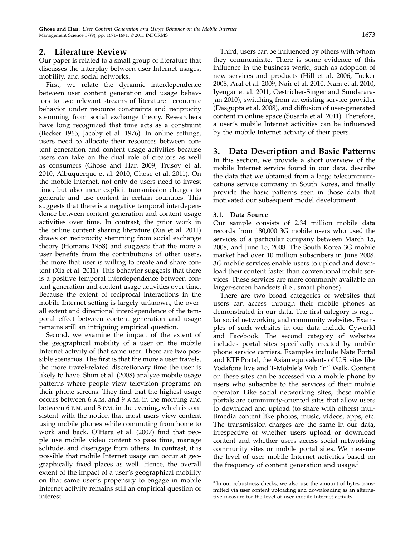## 2. Literature Review

Our paper is related to a small group of literature that discusses the interplay between user Internet usages, mobility, and social networks.

First, we relate the dynamic interdependence between user content generation and usage behaviors to two relevant streams of literature—economic behavior under resource constraints and reciprocity stemming from social exchange theory. Researchers have long recognized that time acts as a constraint (Becker 1965, Jacoby et al. 1976). In online settings, users need to allocate their resources between content generation and content usage activities because users can take on the dual role of creators as well as consumers (Ghose and Han 2009, Trusov et al. 2010, Albuquerque et al. 2010, Ghose et al. 2011). On the mobile Internet, not only do users need to invest time, but also incur explicit transmission charges to generate and use content in certain countries. This suggests that there is a negative temporal interdependence between content generation and content usage activities over time. In contrast, the prior work in the online content sharing literature (Xia et al. 2011) draws on reciprocity stemming from social exchange theory (Homans 1958) and suggests that the more a user benefits from the contributions of other users, the more that user is willing to create and share content (Xia et al. 2011). This behavior suggests that there is a positive temporal interdependence between content generation and content usage activities over time. Because the extent of reciprocal interactions in the mobile Internet setting is largely unknown, the overall extent and directional interdependence of the temporal effect between content generation and usage remains still an intriguing empirical question.

Second, we examine the impact of the extent of the geographical mobility of a user on the mobile Internet activity of that same user. There are two possible scenarios. The first is that the more a user travels, the more travel-related discretionary time the user is likely to have. Shim et al. (2008) analyze mobile usage patterns where people view television programs on their phone screens. They find that the highest usage occurs between 6 a.m. and 9 a.m. in the morning and between 6 p.m. and 8 p.m. in the evening, which is consistent with the notion that most users view content using mobile phones while commuting from home to work and back. O'Hara et al. (2007) find that people use mobile video content to pass time, manage solitude, and disengage from others. In contrast, it is possible that mobile Internet usage can occur at geographically fixed places as well. Hence, the overall extent of the impact of a user's geographical mobility on that same user's propensity to engage in mobile Internet activity remains still an empirical question of interest.

Third, users can be influenced by others with whom they communicate. There is some evidence of this influence in the business world, such as adoption of new services and products (Hill et al. 2006, Tucker 2008, Aral et al. 2009, Nair et al. 2010, Nam et al. 2010, Iyengar et al. 2011, Oestricher-Singer and Sundararajan 2010), switching from an existing service provider (Dasgupta et al. 2008), and diffusion of user-generated content in online space (Susarla et al. 2011). Therefore, a user's mobile Internet activities can be influenced by the mobile Internet activity of their peers.

## 3. Data Description and Basic Patterns

In this section, we provide a short overview of the mobile Internet service found in our data, describe the data that we obtained from a large telecommunications service company in South Korea, and finally provide the basic patterns seen in those data that motivated our subsequent model development.

#### 3.1. Data Source

Our sample consists of 2.34 million mobile data records from 180,000 3G mobile users who used the services of a particular company between March 15, 2008, and June 15, 2008. The South Korea 3G mobile market had over 10 million subscribers in June 2008. 3G mobile services enable users to upload and download their content faster than conventional mobile services. These services are more commonly available on larger-screen handsets (i.e., smart phones).

There are two broad categories of websites that users can access through their mobile phones as demonstrated in our data. The first category is regular social networking and community websites. Examples of such websites in our data include Cyworld and Facebook. The second category of websites includes portal sites specifically created by mobile phone service carriers. Examples include Nate Portal and KTF Portal, the Asian equivalents of U.S. sites like Vodafone live and T-Mobile's Web "n" Walk. Content on these sites can be accessed via a mobile phone by users who subscribe to the services of their mobile operator. Like social networking sites, these mobile portals are community-oriented sites that allow users to download and upload (to share with others) multimedia content like photos, music, videos, apps, etc. The transmission charges are the same in our data, irrespective of whether users upload or download content and whether users access social networking community sites or mobile portal sites. We measure the level of user mobile Internet activities based on the frequency of content generation and usage.<sup>3</sup>

<sup>&</sup>lt;sup>3</sup> In our robustness checks, we also use the amount of bytes transmitted via user content uploading and downloading as an alternative measure for the level of user mobile Internet activity.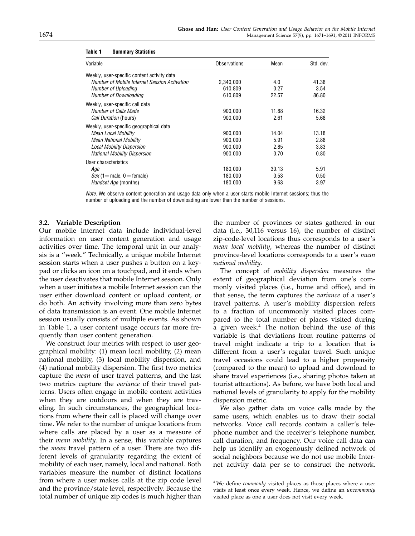| Variable                                     | <b>Observations</b> | Mean  | Std. dev. |
|----------------------------------------------|---------------------|-------|-----------|
| Weekly, user-specific content activity data  |                     |       |           |
| Number of Mobile Internet Session Activation | 2,340,000           | 4.0   | 41.38     |
| Number of Uploading                          | 610,809             | 0.27  | 3.54      |
| Number of Downloading                        | 610,809             | 22.57 | 86.80     |
| Weekly, user-specific call data              |                     |       |           |
| Number of Calls Made                         | 900,000             | 11.88 | 16.32     |
| <i>Call Duration</i> (hours)                 | 900.000             | 2.61  | 5.68      |
| Weekly, user-specific geographical data      |                     |       |           |
| Mean Local Mobility                          | 900.000             | 14.04 | 13.18     |
| <b>Mean National Mobility</b>                | 900,000             | 5.91  | 2.88      |
| <b>Local Mobility Dispersion</b>             | 900,000             | 2.85  | 3.83      |
| National Mobility Dispersion                 | 900,000             | 0.70  | 0.80      |
| User characteristics                         |                     |       |           |
| Age                                          | 180.000             | 30.13 | 5.91      |
| $Sex (1 = male, 0 = female)$                 | 180,000             | 0.53  | 0.50      |
| <i>Handset Age (months)</i>                  | 180.000             | 9.63  | 3.97      |

#### Table 1 Summary Statistics

Note. We observe content generation and usage data only when a user starts mobile Internet sessions; thus the number of uploading and the number of downloading are lower than the number of sessions.

#### 3.2. Variable Description

Our mobile Internet data include individual-level information on user content generation and usage activities over time. The temporal unit in our analysis is a "week." Technically, a unique mobile Internet session starts when a user pushes a button on a keypad or clicks an icon on a touchpad, and it ends when the user deactivates that mobile Internet session. Only when a user initiates a mobile Internet session can the user either download content or upload content, or do both. An activity involving more than zero bytes of data transmission is an event. One mobile Internet session usually consists of multiple events. As shown in Table 1, a user content usage occurs far more frequently than user content generation.

We construct four metrics with respect to user geographical mobility: (1) mean local mobility, (2) mean national mobility, (3) local mobility dispersion, and (4) national mobility dispersion. The first two metrics capture the mean of user travel patterns, and the last two metrics capture the variance of their travel patterns. Users often engage in mobile content activities when they are outdoors and when they are traveling. In such circumstances, the geographical locations from where their call is placed will change over time. We refer to the number of unique locations from where calls are placed by a user as a measure of their mean mobility. In a sense, this variable captures the mean travel pattern of a user. There are two different levels of granularity regarding the extent of mobility of each user, namely, local and national. Both variables measure the number of distinct locations from where a user makes calls at the zip code level and the province/state level, respectively. Because the total number of unique zip codes is much higher than

the number of provinces or states gathered in our data (i.e., 30,116 versus 16), the number of distinct zip-code-level locations thus corresponds to a user's mean local mobility, whereas the number of distinct province-level locations corresponds to a user's mean national mobility.

The concept of mobility dispersion measures the extent of geographical deviation from one's commonly visited places (i.e., home and office), and in that sense, the term captures the variance of a user's travel patterns. A user's mobility dispersion refers to a fraction of uncommonly visited places compared to the total number of places visited during a given week. $4$  The notion behind the use of this variable is that deviations from routine patterns of travel might indicate a trip to a location that is different from a user's regular travel. Such unique travel occasions could lead to a higher propensity (compared to the mean) to upload and download to share travel experiences (i.e., sharing photos taken at tourist attractions). As before, we have both local and national levels of granularity to apply for the mobility dispersion metric.

We also gather data on voice calls made by the same users, which enables us to draw their social networks. Voice call records contain a caller's telephone number and the receiver's telephone number, call duration, and frequency. Our voice call data can help us identify an exogenously defined network of social neighbors because we do not use mobile Internet activity data per se to construct the network.

<sup>&</sup>lt;sup>4</sup> We define *commonly* visited places as those places where a user visits at least once every week. Hence, we define an uncommonly visited place as one a user does not visit every week.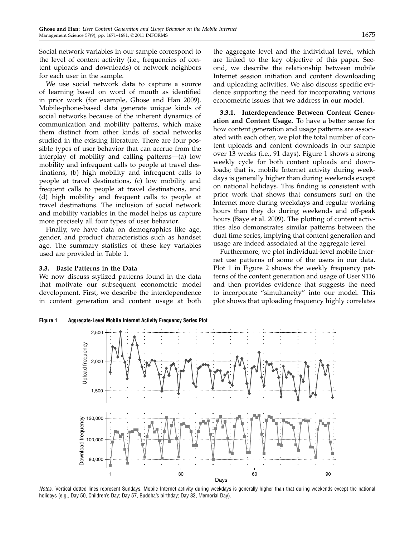Social network variables in our sample correspond to the level of content activity (i.e., frequencies of content uploads and downloads) of network neighbors for each user in the sample.

We use social network data to capture a source of learning based on word of mouth as identified in prior work (for example, Ghose and Han 2009). Mobile-phone-based data generate unique kinds of social networks because of the inherent dynamics of communication and mobility patterns, which make them distinct from other kinds of social networks studied in the existing literature. There are four possible types of user behavior that can accrue from the interplay of mobility and calling patterns—(a) low mobility and infrequent calls to people at travel destinations, (b) high mobility and infrequent calls to people at travel destinations, (c) low mobility and frequent calls to people at travel destinations, and (d) high mobility and frequent calls to people at travel destinations. The inclusion of social network and mobility variables in the model helps us capture more precisely all four types of user behavior.

Finally, we have data on demographics like age, gender, and product characteristics such as handset age. The summary statistics of these key variables used are provided in Table 1.

#### 3.3. Basic Patterns in the Data

We now discuss stylized patterns found in the data that motivate our subsequent econometric model development. First, we describe the interdependence in content generation and content usage at both the aggregate level and the individual level, which are linked to the key objective of this paper. Second, we describe the relationship between mobile Internet session initiation and content downloading and uploading activities. We also discuss specific evidence supporting the need for incorporating various econometric issues that we address in our model.

3.3.1. Interdependence Between Content Generation and Content Usage. To have a better sense for how content generation and usage patterns are associated with each other, we plot the total number of content uploads and content downloads in our sample over 13 weeks (i.e., 91 days). Figure 1 shows a strong weekly cycle for both content uploads and downloads; that is, mobile Internet activity during weekdays is generally higher than during weekends except on national holidays. This finding is consistent with prior work that shows that consumers surf on the Internet more during weekdays and regular working hours than they do during weekends and off-peak hours (Baye et al. 2009). The plotting of content activities also demonstrates similar patterns between the dual time series, implying that content generation and usage are indeed associated at the aggregate level.

Furthermore, we plot individual-level mobile Internet use patterns of some of the users in our data. Plot 1 in Figure 2 shows the weekly frequency patterns of the content generation and usage of User 9116 and then provides evidence that suggests the need to incorporate "simultaneity" into our model. This plot shows that uploading frequency highly correlates

Figure 1 Aggregate-Level Mobile Internet Activity Frequency Series Plot



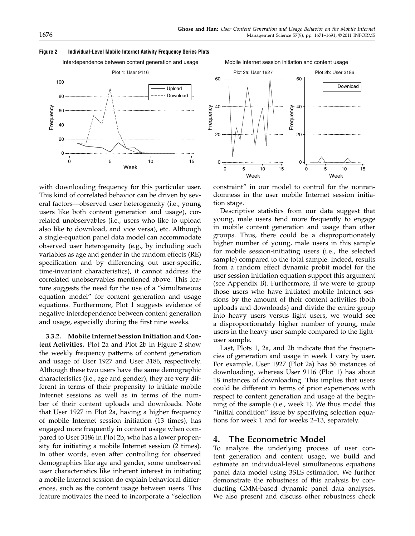

#### Figure 2 Individual-Level Mobile Internet Activity Frequency Series Plots

with downloading frequency for this particular user. This kind of correlated behavior can be driven by several factors—observed user heterogeneity (i.e., young users like both content generation and usage), correlated unobservables (i.e., users who like to upload also like to download, and vice versa), etc. Although a single-equation panel data model can accommodate observed user heterogeneity (e.g., by including such variables as age and gender in the random effects (RE) specification and by differencing out user-specific, time-invariant characteristics), it cannot address the correlated unobservables mentioned above. This feature suggests the need for the use of a "simultaneous equation model" for content generation and usage equations. Furthermore, Plot 1 suggests evidence of negative interdependence between content generation and usage, especially during the first nine weeks.

3.3.2. Mobile Internet Session Initiation and Content Activities. Plot 2a and Plot 2b in Figure 2 show the weekly frequency patterns of content generation and usage of User 1927 and User 3186, respectively. Although these two users have the same demographic characteristics (i.e., age and gender), they are very different in terms of their propensity to initiate mobile Internet sessions as well as in terms of the number of their content uploads and downloads. Note that User 1927 in Plot 2a, having a higher frequency of mobile Internet session initiation (13 times), has engaged more frequently in content usage when compared to User 3186 in Plot 2b, who has a lower propensity for initiating a mobile Internet session (2 times). In other words, even after controlling for observed demographics like age and gender, some unobserved user characteristics like inherent interest in initiating a mobile Internet session do explain behavioral differences, such as the content usage between users. This feature motivates the need to incorporate a "selection



constraint" in our model to control for the nonrandomness in the user mobile Internet session initiation stage.

Descriptive statistics from our data suggest that young, male users tend more frequently to engage in mobile content generation and usage than other groups. Thus, there could be a disproportionately higher number of young, male users in this sample for mobile session-initiating users (i.e., the selected sample) compared to the total sample. Indeed, results from a random effect dynamic probit model for the user session initiation equation support this argument (see Appendix B). Furthermore, if we were to group those users who have initiated mobile Internet sessions by the amount of their content activities (both uploads and downloads) and divide the entire group into heavy users versus light users, we would see a disproportionately higher number of young, male users in the heavy-user sample compared to the lightuser sample.

Last, Plots 1, 2a, and 2b indicate that the frequencies of generation and usage in week 1 vary by user. For example, User 1927 (Plot 2a) has 56 instances of downloading, whereas User 9116 (Plot 1) has about 18 instances of downloading. This implies that users could be different in terms of prior experiences with respect to content generation and usage at the beginning of the sample (i.e., week 1). We thus model this "initial condition" issue by specifying selection equations for week 1 and for weeks 2–13, separately.

## 4. The Econometric Model

To analyze the underlying process of user content generation and content usage, we build and estimate an individual-level simultaneous equations panel data model using 3SLS estimation. We further demonstrate the robustness of this analysis by conducting GMM-based dynamic panel data analyses. We also present and discuss other robustness check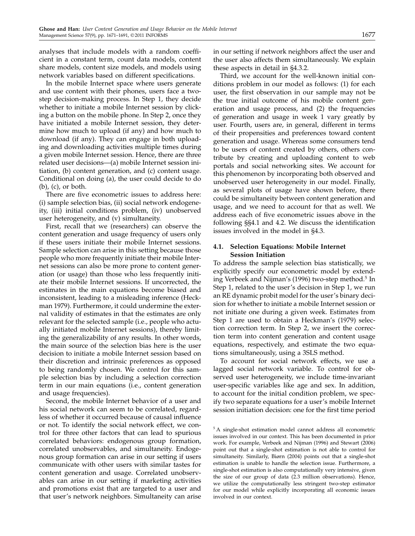analyses that include models with a random coefficient in a constant term, count data models, content share models, content size models, and models using network variables based on different specifications.

In the mobile Internet space where users generate and use content with their phones, users face a twostep decision-making process. In Step 1, they decide whether to initiate a mobile Internet session by clicking a button on the mobile phone. In Step 2, once they have initiated a mobile Internet session, they determine how much to upload (if any) and how much to download (if any). They can engage in both uploading and downloading activities multiple times during a given mobile Internet session. Hence, there are three related user decisions—(a) mobile Internet session initiation, (b) content generation, and (c) content usage. Conditional on doing (a), the user could decide to do (b), (c), or both.

There are five econometric issues to address here: (i) sample selection bias, (ii) social network endogeneity, (iii) initial conditions problem, (iv) unobserved user heterogeneity, and (v) simultaneity.

First, recall that we (researchers) can observe the content generation and usage frequency of users only if these users initiate their mobile Internet sessions. Sample selection can arise in this setting because those people who more frequently initiate their mobile Internet sessions can also be more prone to content generation (or usage) than those who less frequently initiate their mobile Internet sessions. If uncorrected, the estimates in the main equations become biased and inconsistent, leading to a misleading inference (Heckman 1979). Furthermore, it could undermine the external validity of estimates in that the estimates are only relevant for the selected sample (i.e., people who actually initiated mobile Internet sessions), thereby limiting the generalizability of any results. In other words, the main source of the selection bias here is the user decision to initiate a mobile Internet session based on their discretion and intrinsic preferences as opposed to being randomly chosen. We control for this sample selection bias by including a selection correction term in our main equations (i.e., content generation and usage frequencies).

Second, the mobile Internet behavior of a user and his social network can seem to be correlated, regardless of whether it occurred because of causal influence or not. To identify the social network effect, we control for three other factors that can lead to spurious correlated behaviors: endogenous group formation, correlated unobservables, and simultaneity. Endogenous group formation can arise in our setting if users communicate with other users with similar tastes for content generation and usage. Correlated unobservables can arise in our setting if marketing activities and promotions exist that are targeted to a user and that user's network neighbors. Simultaneity can arise

in our setting if network neighbors affect the user and the user also affects them simultaneously. We explain these aspects in detail in §4.3.2.

Third, we account for the well-known initial conditions problem in our model as follows: (1) for each user, the first observation in our sample may not be the true initial outcome of his mobile content generation and usage process, and (2) the frequencies of generation and usage in week 1 vary greatly by user. Fourth, users are, in general, different in terms of their propensities and preferences toward content generation and usage. Whereas some consumers tend to be users of content created by others, others contribute by creating and uploading content to web portals and social networking sites. We account for this phenomenon by incorporating both observed and unobserved user heterogeneity in our model. Finally, as several plots of usage have shown before, there could be simultaneity between content generation and usage, and we need to account for that as well. We address each of five econometric issues above in the following §§4.1 and 4.2. We discuss the identification issues involved in the model in §4.3.

## 4.1. Selection Equations: Mobile Internet Session Initiation

To address the sample selection bias statistically, we explicitly specify our econometric model by extending Verbeek and Nijman's (1996) two-step method.<sup>5</sup> In Step 1, related to the user's decision in Step 1, we run an RE dynamic probit model for the user's binary decision for whether to initiate a mobile Internet session or not initiate one during a given week. Estimates from Step 1 are used to obtain a Heckman's (1979) selection correction term. In Step 2, we insert the correction term into content generation and content usage equations, respectively, and estimate the two equations simultaneously, using a 3SLS method.

To account for social network effects, we use a lagged social network variable. To control for observed user heterogeneity, we include time-invariant user-specific variables like age and sex. In addition, to account for the initial condition problem, we specify two separate equations for a user's mobile Internet session initiation decision: one for the first time period

<sup>5</sup> A single-shot estimation model cannot address all econometric issues involved in our context. This has been documented in prior work. For example, Verbeek and Nijman (1996) and Stewart (2006) point out that a single-shot estimation is not able to control for simultaneity. Similarly, Biørn (2004) points out that a single-shot estimation is unable to handle the selection issue. Furthermore, a single-shot estimation is also computationally very intensive, given the size of our group of data (2.3 million observations). Hence, we utilize the computationally less stringent two-step estimator for our model while explicitly incorporating all economic issues involved in our context.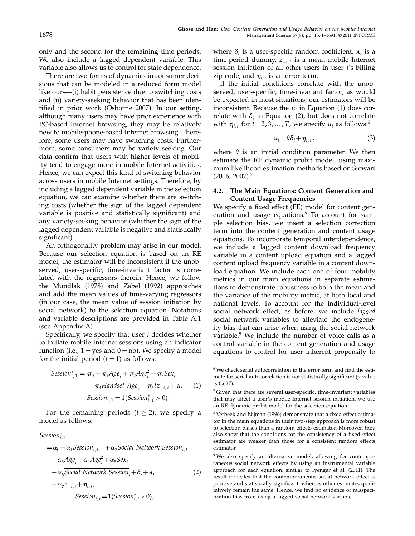only and the second for the remaining time periods. We also include a lagged dependent variable. This variable also allows us to control for state dependence.

There are two forms of dynamics in consumer decisions that can be modeled in a reduced form model like ours—(i) habit persistence due to switching costs and (ii) variety-seeking behavior that has been identified in prior work (Osborne 2007). In our setting, although many users may have prior experience with PC-based Internet browsing, they may be relatively new to mobile-phone-based Internet browsing. Therefore, some users may have switching costs. Furthermore, some consumers may be variety seeking. Our data confirm that users with higher levels of mobility tend to engage more in mobile Internet activities. Hence, we can expect this kind of switching behavior across users in mobile Internet settings. Therefore, by including a lagged dependent variable in the selection equation, we can examine whether there are switching costs (whether the sign of the lagged dependent variable is positive and statistically significant) and any variety-seeking behavior (whether the sign of the lagged dependent variable is negative and statistically significant).

An orthogonality problem may arise in our model. Because our selection equation is based on an RE model, the estimator will be inconsistent if the unobserved, user-specific, time-invariant factor is correlated with the regressors therein. Hence, we follow the Mundlak (1978) and Zabel (1992) approaches and add the mean values of time-varying regressors (in our case, the mean value of session initiation by social network) to the selection equation. Notations and variable descriptions are provided in Table A.1 (see Appendix A).

Specifically, we specify that user  $i$  decides whether to initiate mobile Internet sessions using an indicator function (i.e.,  $1 = yes$  and  $0 = no$ ). We specify a model for the initial period  $(t = 1)$  as follows:

$$
Session_{i,1}^{*} = \pi_0 + \pi_1 Age_i + \pi_2 Age_i^2 + \pi_3 Sex_i
$$
  
+  $\pi_4Handset Age_i + \pi_5 tz_{-i,t} + u_i$  (1)  

$$
Session_{i,1} = 1(Session_{i,1}^{*} > 0).
$$

For the remaining periods ( $t \geq 2$ ), we specify a model as follows:

$$
Session_{i,t}^{*}
$$
\n
$$
= \alpha_0 + \alpha_1 Session_{i,t-1} + \alpha_2 Social Network Session_{i,t-1} + \alpha_3 Age_i + \alpha_4 Age_i^2 + \alpha_5 Sex_i + \alpha_6 Social Network Session_i + \delta_i + \lambda_t
$$
\n
$$
+ \alpha_7 Z_{-i,t} + \eta_{i,t},
$$
\n
$$
Session_{i,t} = 1 (Session_{i,t}^{*} > 0),
$$
\n
$$
(2)
$$

where  $\delta_i$  is a user-specific random coefficient,  $\lambda_t$  is a time-period dummy,  $z_{-i,t}$  is a mean mobile Internet session initiation of all other users in user  $i$ 's billing zip code, and  $\eta_{i,t}$  is an error term.

If the initial conditions correlate with the unobserved, user-specific, time-invariant factor, as would be expected in most situations, our estimators will be inconsistent. Because the  $u_i$  in Equation (1) does correlate with  $\delta_i$  in Equation (2), but does not correlate with  $\eta_{i,t}$  for  $t=2,3,\ldots,T$ , we specify  $u_i$  as follows:<sup>6</sup>

$$
u_i = \theta \delta_i + \eta_{i,1}, \tag{3}
$$

where  $\theta$  is an initial condition parameter. We then estimate the RE dynamic probit model, using maximum likelihood estimation methods based on Stewart  $(2006, 2007).<sup>7</sup>$ 

## 4.2. The Main Equations: Content Generation and Content Usage Frequencies

We specify a fixed effect (FE) model for content generation and usage equations.<sup>8</sup> To account for sample selection bias, we insert a selection correction term into the content generation and content usage equations. To incorporate temporal interdependence, we include a lagged content download frequency variable in a content upload equation and a lagged content upload frequency variable in a content download equation. We include each one of four mobility metrics in our main equations in separate estimations to demonstrate robustness to both the mean and the variance of the mobility metric, at both local and national levels. To account for the individual-level social network effect, as before, we include lagged social network variables to alleviate the endogeneity bias that can arise when using the social network variable.<sup>9</sup> We include the number of voice calls as a control variable in the content generation and usage equations to control for user inherent propensity to

<sup>8</sup> Verbeek and Nijman (1996) demonstrate that a fixed effect estimator in the main equations in their two-step approach is more robust to selection biases than a random effects estimator. Moreover, they also show that the conditions for the consistency of a fixed effect estimator are weaker than those for a consistent random effects estimator.

<sup>9</sup> We also specify an alternative model, allowing for contemporaneous social network effects by using an instrumental variable approach for each equation, similar to Iyengar et al. (2011). The result indicates that the contemporaneous social network effect is positive and statistically significant, whereas other estimates qualitatively remain the same. Hence, we find no evidence of misspecification bias from using a lagged social network variable.

<sup>&</sup>lt;sup>6</sup> We check serial autocorrelation in the error term and find the estimate for serial autocorrelation is not statistically significant (p-value is 0.627).

<sup>7</sup> Given that there are several user-specific, time-invariant variables that may affect a user's mobile Internet session initiation, we use an RE dynamic probit model for the selection equation.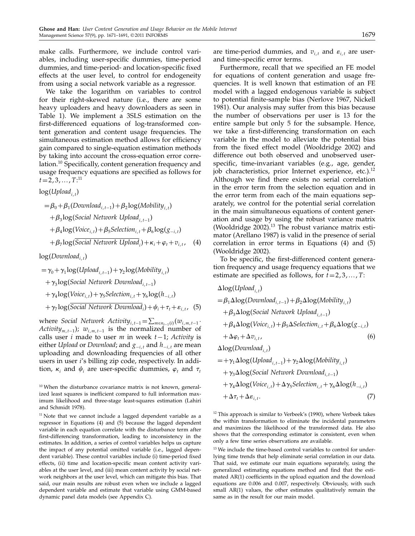make calls. Furthermore, we include control variables, including user-specific dummies, time-period dummies, and time-period- and location-specific fixed effects at the user level, to control for endogeneity from using a social network variable as a regressor.

We take the logarithm on variables to control for their right-skewed nature (i.e., there are some heavy uploaders and heavy downloaders as seen in Table 1). We implement a 3SLS estimation on the first-differenced equations of log-transformed content generation and content usage frequencies. The simultaneous estimation method allows for efficiency gain compared to single-equation estimation methods by taking into account the cross-equation error correlation.<sup>10</sup> Specifically, content generation frequency and usage frequency equations are specified as follows for  $t = 2, 3, \ldots, T:$ <sup>11</sup>

 $log(Upload_{i,t})$ 

$$
= \beta_0 + \beta_1(Download_{i,t-1}) + \beta_2 log(Mobility_{i,t})
$$
  
+  $\beta_3 log(Social Network Upload_{i,t-1})$   
+  $\beta_4 log(Voice_{i,t}) + \beta_5 Selection_{i,t} + \beta_6 log(g_{-i,t})$   
+  $\beta_7 log(\overline Social Network Upload_i) + \kappa_i + \varphi_t + v_{i,t}$ , (4)

 $log(Dovnload_{i.t})$ 

$$
= \gamma_0 + \gamma_1 \log(Upload_{i, t-1}) + \gamma_2 \log(Mobility_{i, t})
$$
  
+  $\gamma_3 \log(Social Network Download_{i, t-1})$   
+  $\gamma_4 \log(Voice_{i, t}) + \gamma_5 Selection_{i, t} + \gamma_6 \log(h_{-i, t})$   
+  $\gamma_7 \log(\overline{Social Network Download}_i) + \psi_i + \tau_t + \varepsilon_{i, t}, (5)$ 

where Social Network Activity<sub>i,t−1</sub> =  $\sum_{m \in n_{t-1}(i)} (w_{i,m,t-1} \cdot$ *Activity*<sub>m,t−1</sub>);  $w_{i,m,t-1}$  is the normalized number of calls user *i* made to user *m* in week  $t-1$ ; Activity is either *Upload* or *Download*; and  $g_{-i,t}$  and  $h_{-i,t}$  are mean uploading and downloading frequencies of all other users in user i's billing zip code, respectively. In addition,  $\kappa_i$  and  $\psi_i$  are user-specific dummies,  $\varphi_t$  and  $\tau_t$  are time-period dummies, and  $v_{i,t}$  and  $\varepsilon_{i,t}$  are userand time-specific error terms.

Furthermore, recall that we specified an FE model for equations of content generation and usage frequencies. It is well known that estimation of an FE model with a lagged endogenous variable is subject to potential finite-sample bias (Nerlove 1967, Nickell 1981). Our analysis may suffer from this bias because the number of observations per user is 13 for the entire sample but only 5 for the subsample. Hence, we take a first-differencing transformation on each variable in the model to alleviate the potential bias from the fixed effect model (Wooldridge 2002) and difference out both observed and unobserved userspecific, time-invariant variables (e.g., age, gender, job characteristics, prior Internet experience, etc.).<sup>12</sup> Although we find there exists no serial correlation in the error term from the selection equation and in the error term from each of the main equations separately, we control for the potential serial correlation in the main simultaneous equations of content generation and usage by using the robust variance matrix (Wooldridge  $2002$ ).<sup>13</sup> The robust variance matrix estimator (Arellano 1987) is valid in the presence of serial correlation in error terms in Equations (4) and (5) (Wooldridge 2002).

To be specific, the first-differenced content generation frequency and usage frequency equations that we estimate are specified as follows, for  $t=2,3,...,T$ :

$$
Δlog(Uploadi,t)
$$
\n= β<sub>1</sub>Δlog(Download<sub>i,t-1</sub>) + β<sub>2</sub>Δlog(Mobility<sub>i,t</sub>)  
\n+ β<sub>3</sub>Δlog(Social Network Upload<sub>i,t-1</sub>)  
\n+ β<sub>4</sub>Δlog(Voice<sub>i,t</sub>) + β<sub>5</sub>ΔSelection<sub>i,t</sub> + β<sub>6</sub>Δlog(g<sub>-i,t</sub>)  
\n+ Δφ<sub>t</sub> + Δv<sub>i,t</sub>, (6)  
\nΔlog(Download<sub>i,t</sub>)  
\n= + γ<sub>1</sub>Δlog(Upload<sub>i,t-1</sub>) + γ<sub>2</sub>Δlog(Mobility<sub>i,t</sub>)  
\n+ γ<sub>3</sub>Δlog(Social Network Download<sub>i,t-1</sub>)  
\n+ γ<sub>4</sub>Δlog(Voice<sub>i,t</sub>) + Δγ<sub>5</sub>Selectron<sub>i,t</sub> + γ<sub>6</sub>Δlog(h<sub>-i,t</sub>)  
\n+Δτ<sub>t</sub> + Δε<sub>i,t</sub>. (7)

<sup>12</sup> This approach is similar to Verbeek's (1990), where Verbeek takes the within transformation to eliminate the incidental parameters and maximizes the likelihood of the transformed data. He also shows that the corresponding estimator is consistent, even when only a few time series observations are available.

<sup>13</sup> We include the time-based control variables to control for underlying time trends that help eliminate serial correlation in our data. That said, we estimate our main equations separately, using the generalized estimating equations method and find that the estimated AR(1) coefficients in the upload equation and the download equations are 0.006 and 0.007, respectively. Obviously, with such small AR(1) values, the other estimates qualitatively remain the same as in the result for our main model.

<sup>&</sup>lt;sup>10</sup> When the disturbance covariance matrix is not known, generalized least squares is inefficient compared to full information maximum likelihood and three-stage least-squares estimation (Lahiri and Schmidt 1978).

 $11$  Note that we cannot include a lagged dependent variable as a regressor in Equations (4) and (5) because the lagged dependent variable in each equation correlate with the disturbance term after first-differencing transformation, leading to inconsistency in the estimates. In addition, a series of control variables helps us capture the impact of any potential omitted variable (i.e., lagged dependent variable). These control variables include (i) time-period fixed effects, (ii) time and location-specific mean content activity variables at the user level, and (iii) mean content activity by social network neighbors at the user level, which can mitigate this bias. That said, our main results are robust even when we include a lagged dependent variable and estimate that variable using GMM-based dynamic panel data models (see Appendix C).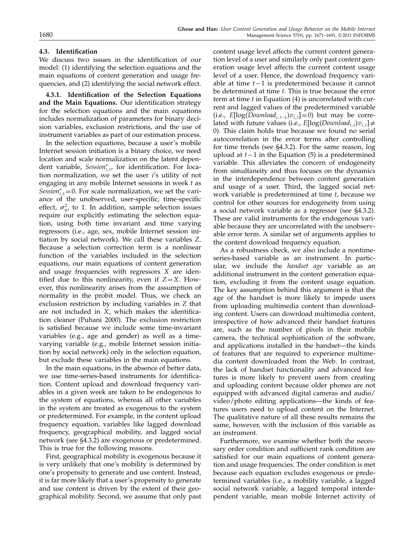#### 4.3. Identification

We discuss two issues in the identification of our model: (1) identifying the selection equations and the main equations of content generation and usage frequencies, and (2) identifying the social network effect.

4.3.1. Identification of the Selection Equations and the Main Equations. Our identification strategy for the selection equations and the main equations includes normalization of parameters for binary decision variables, exclusion restrictions, and the use of instrument variables as part of our estimation process.

In the selection equations, because a user's mobile Internet session initiation is a binary choice, we need location and scale normalization on the latent dependent variable, Session<sub>\*,t</sub>, for identification. For location normalization, we set the user i's utility of not engaging in any mobile Internet sessions in week t as  $Session_{i,t}^* = 0$ . For scale normalization, we set the variance of the unobserved, user-specific, time-specific effect,  $\sigma_{\eta'}^2$ , to 1. In addition, sample selection issues require our explicitly estimating the selection equation, using both time invariant and time varying regressors (i.e., age, sex, mobile Internet session initiation by social network). We call these variables Z. Because a selection correction term is a nonlinear function of the variables included in the selection equations, our main equations of content generation and usage frequencies with regressors X are identified due to this nonlinearity, even if  $Z = X$ . However, this nonlinearity arises from the assumption of normality in the probit model. Thus, we check an exclusion restriction by including variables in Z that are not included in X, which makes the identification cleaner (Puhani 2000). The exclusion restriction is satisfied because we include some time-invariant variables (e.g., age and gender) as well as a timevarying variable (e.g., mobile Internet session initiation by social network) only in the selection equation, but exclude these variables in the main equations.

In the main equations, in the absence of better data, we use time-series-based instruments for identification. Content upload and download frequency variables in a given week are taken to be endogenous to the system of equations, whereas all other variables in the system are treated as exogenous to the system or predetermined. For example, in the content upload frequency equation, variables like lagged download frequency, geographical mobility, and lagged social network (see §4.3.2) are exogenous or predetermined. This is true for the following reasons.

First, geographical mobility is exogenous because it is very unlikely that one's mobility is determined by one's propensity to generate and use content. Instead, it is far more likely that a user's propensity to generate and use content is driven by the extent of their geographical mobility. Second, we assume that only past

content usage level affects the current content generation level of a user and similarly only past content generation usage level affects the current content usage level of a user. Hence, the download frequency variable at time  $t-1$  is predetermined because it cannot be determined at time t. This is true because the error term at time  $t$  in Equation  $(4)$  is uncorrelated with current and lagged values of the predetermined variable (i.e.,  $E[log(Dovnload_{i,t-1})v_{i,t}] = 0$ ) but may be correlated with future values (i.e.,  $E[log(Dovnload_{i,t})v_{i,t}]\neq$ 0). This claim holds true because we found no serial autocorrelation in the error terms after controlling for time trends (see §4.3.2). For the same reason, log upload at  $t-1$  in the Equation (5) is a predetermined variable. This alleviates the concern of endogeneity from simultaneity and thus focuses on the dynamics in the interdependence between content generation and usage of a user. Third, the lagged social network variable is predetermined at time t, because we control for other sources for endogeneity from using a social network variable as a regressor (see §4.3.2). These are valid instruments for the endogenous variable because they are uncorrelated with the unobservable error term. A similar set of arguments applies to the content download frequency equation.

As a robustness check, we also include a nontimeseries-based variable as an instrument. In particular, we include the handset age variable as an additional instrument in the content generation equation, excluding it from the content usage equation. The key assumption behind this argument is that the age of the handset is more likely to impede users from uploading multimedia content than downloading content. Users can download multimedia content, irrespective of how advanced their handset features are, such as the number of pixels in their mobile camera, the technical sophistication of the software, and applications installed in the handset—the kinds of features that are required to experience multimedia content downloaded from the Web. In contrast, the lack of handset functionality and advanced features is more likely to prevent users from creating and uploading content because older phones are not equipped with advanced digital cameras and audio/ video/photo editing applications—the kinds of features users need to upload content on the Internet. The qualitative nature of all these results remains the same, however, with the inclusion of this variable as an instrument.

Furthermore, we examine whether both the necessary order condition and sufficient rank condition are satisfied for our main equations of content generation and usage frequencies. The order condition is met because each equation excludes exogenous or predetermined variables (i.e., a mobility variable, a lagged social network variable, a lagged temporal interdependent variable, mean mobile Internet activity of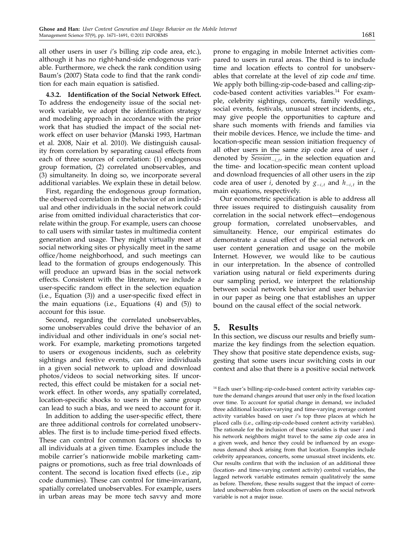all other users in user  $i$ 's billing zip code area, etc.), although it has no right-hand-side endogenous variable. Furthermore, we check the rank condition using Baum's (2007) Stata code to find that the rank condition for each main equation is satisfied.

4.3.2. Identification of the Social Network Effect. To address the endogeneity issue of the social network variable, we adopt the identification strategy and modeling approach in accordance with the prior work that has studied the impact of the social network effect on user behavior (Manski 1993, Hartman et al. 2008, Nair et al. 2010). We distinguish causality from correlation by separating causal effects from each of three sources of correlation: (1) endogenous group formation, (2) correlated unobservables, and (3) simultaneity. In doing so, we incorporate several additional variables. We explain these in detail below.

First, regarding the endogenous group formation, the observed correlation in the behavior of an individual and other individuals in the social network could arise from omitted individual characteristics that correlate within the group. For example, users can choose to call users with similar tastes in multimedia content generation and usage. They might virtually meet at social networking sites or physically meet in the same office/home neighborhood, and such meetings can lead to the formation of groups endogenously. This will produce an upward bias in the social network effects. Consistent with the literature, we include a user-specific random effect in the selection equation (i.e., Equation (3)) and a user-specific fixed effect in the main equations (i.e., Equations (4) and (5)) to account for this issue.

Second, regarding the correlated unobservables, some unobservables could drive the behavior of an individual and other individuals in one's social network. For example, marketing promotions targeted to users or exogenous incidents, such as celebrity sightings and festive events, can drive individuals in a given social network to upload and download photos/videos to social networking sites. If uncorrected, this effect could be mistaken for a social network effect. In other words, any spatially correlated, location-specific shocks to users in the same group can lead to such a bias, and we need to account for it.

In addition to adding the user-specific effect, there are three additional controls for correlated unobservables. The first is to include time-period fixed effects. These can control for common factors or shocks to all individuals at a given time. Examples include the mobile carrier's nationwide mobile marketing campaigns or promotions, such as free trial downloads of content. The second is location fixed effects (i.e., zip code dummies). These can control for time-invariant, spatially correlated unobservables. For example, users in urban areas may be more tech savvy and more

prone to engaging in mobile Internet activities compared to users in rural areas. The third is to include time and location effects to control for unobservables that correlate at the level of zip code and time. We apply both billing-zip-code-based and calling-zipcode-based content activities variables.<sup>14</sup> For example, celebrity sightings, concerts, family weddings, social events, festivals, unusual street incidents, etc., may give people the opportunities to capture and share such moments with friends and families via their mobile devices. Hence, we include the time- and location-specific mean session initiation frequency of all other users in the same zip code area of user  $i$ , denoted by *Session<sub>−i,t</sub>*, in the selection equation and the time- and location-specific mean content upload and download frequencies of all other users in the zip code area of user *i*, denoted by  $g_{-i,t}$  and  $h_{-i,t}$  in the main equations, respectively.

Our econometric specification is able to address all three issues required to distinguish causality from correlation in the social network effect—endogenous group formation, correlated unobservables, and simultaneity. Hence, our empirical estimates do demonstrate a causal effect of the social network on user content generation and usage on the mobile Internet. However, we would like to be cautious in our interpretation. In the absence of controlled variation using natural or field experiments during our sampling period, we interpret the relationship between social network behavior and user behavior in our paper as being one that establishes an upper bound on the causal effect of the social network.

## 5. Results

In this section, we discuss our results and briefly summarize the key findings from the selection equation. They show that positive state dependence exists, suggesting that some users incur switching costs in our context and also that there is a positive social network

<sup>&</sup>lt;sup>14</sup> Each user's billing-zip-code-based content activity variables capture the demand changes around that user only in the fixed location over time. To account for spatial change in demand, we included three additional location-varying and time-varying average content activity variables based on user  $i$ 's top three places at which he placed calls (i.e., calling-zip-code-based content activity variables). The rationale for the inclusion of these variables is that user  $i$  and his network neighbors might travel to the same zip code area in a given week, and hence they could be influenced by an exogenous demand shock arising from that location. Examples include celebrity appearances, concerts, some unusual street incidents, etc. Our results confirm that with the inclusion of an additional three (location- and time-varying content activity) control variables, the lagged network variable estimates remain qualitatively the same as before. Therefore, these results suggest that the impact of correlated unobservables from colocation of users on the social network variable is not a major issue.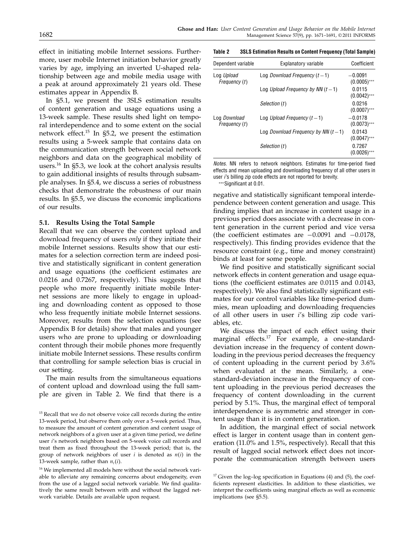effect in initiating mobile Internet sessions. Furthermore, user mobile Internet initiation behavior greatly varies by age, implying an inverted U-shaped relationship between age and mobile media usage with a peak at around approximately 21 years old. These estimates appear in Appendix B.

In §5.1, we present the 3SLS estimation results of content generation and usage equations using a 13-week sample. These results shed light on temporal interdependence and to some extent on the social network effect.<sup>15</sup> In §5.2, we present the estimation results using a 5-week sample that contains data on the communication strength between social network neighbors and data on the geographical mobility of users.<sup>16</sup> In §5.3, we look at the cohort analysis results to gain additional insights of results through subsample analyses. In §5.4, we discuss a series of robustness checks that demonstrate the robustness of our main results. In §5.5, we discuss the economic implications of our results.

#### 5.1. Results Using the Total Sample

Recall that we can observe the content upload and download frequency of users only if they initiate their mobile Internet sessions. Results show that our estimates for a selection correction term are indeed positive and statistically significant in content generation and usage equations (the coefficient estimates are 0.0216 and 0.7267, respectively). This suggests that people who more frequently initiate mobile Internet sessions are more likely to engage in uploading and downloading content as opposed to those who less frequently initiate mobile Internet sessions. Moreover, results from the selection equations (see Appendix B for details) show that males and younger users who are prone to uploading or downloading content through their mobile phones more frequently initiate mobile Internet sessions. These results confirm that controlling for sample selection bias is crucial in our setting.

The main results from the simultaneous equations of content upload and download using the full sample are given in Table 2. We find that there is a

#### Table 2 3SLS Estimation Results on Content Frequency (Total Sample)

| Dependent variable            | Explanatory variable                  | Coefficient                 |
|-------------------------------|---------------------------------------|-----------------------------|
| Log Upload<br>Frequency (t)   | Log <i>Download Frequency</i> $(t-1)$ | $-0.0091$<br>$(0.0005)$ *** |
|                               | Log Upload Frequency by NN $(t-1)$    | 0.0115<br>$(0.0042)$ ***    |
|                               | Selection (t)                         | 0.0216<br>$(0.0007)$ ***    |
| Log Download<br>Frequency (t) | Log Upload Frequency $(t-1)$          | $-0.0178$<br>$(0.0073)$ *** |
|                               | Log Download Frequency by NN $(t-1)$  | 0.0143<br>$(0.0047)$ ***    |
|                               | Selection (t)                         | 0.7267<br>$(0.0026)$ ***    |

Notes. NN refers to network neighbors. Estimates for time-period fixed effects and mean uploading and downloading frequency of all other users in user i's billing zip code effects are not reported for brevity.

∗∗∗Significant at 0.01.

negative and statistically significant temporal interdependence between content generation and usage. This finding implies that an increase in content usage in a previous period does associate with a decrease in content generation in the current period and vice versa (the coefficient estimates are −0.0091 and −0.0178, respectively). This finding provides evidence that the resource constraint (e.g., time and money constraint) binds at least for some people.

We find positive and statistically significant social network effects in content generation and usage equations (the coefficient estimates are 0.0115 and 0.0143, respectively). We also find statistically significant estimates for our control variables like time-period dummies, mean uploading and downloading frequencies of all other users in user  $i$ 's billing zip code variables, etc.

We discuss the impact of each effect using their marginal effects.<sup>17</sup> For example, a one-standarddeviation increase in the frequency of content downloading in the previous period decreases the frequency of content uploading in the current period by 3.6% when evaluated at the mean. Similarly, a onestandard-deviation increase in the frequency of content uploading in the previous period decreases the frequency of content downloading in the current period by 5.1%. Thus, the marginal effect of temporal interdependence is asymmetric and stronger in content usage than it is in content generation.

In addition, the marginal effect of social network effect is larger in content usage than in content generation (11.0% and 1.5%, respectively). Recall that this result of lagged social network effect does not incorporate the communication strength between users

<sup>&</sup>lt;sup>15</sup> Recall that we do not observe voice call records during the entire 13-week period, but observe them only over a 5-week period. Thus, to measure the amount of content generation and content usage of network neighbors of a given user at a given time period, we define user i's network neighbors based on 5-week voice call records and treat them as fixed throughout the 13-week period; that is, the group of network neighbors of user  $i$  is denoted as  $n(i)$  in the 13-week sample, rather than  $n_t(i)$ .

<sup>&</sup>lt;sup>16</sup> We implemented all models here without the social network variable to alleviate any remaining concerns about endogeneity, even from the use of a lagged social network variable. We find qualitatively the same result between with and without the lagged network variable. Details are available upon request.

 $17$  Given the log-log specification in Equations (4) and (5), the coefficients represent elasticities. In addition to these elasticities, we interpret the coefficients using marginal effects as well as economic implications (see §5.5).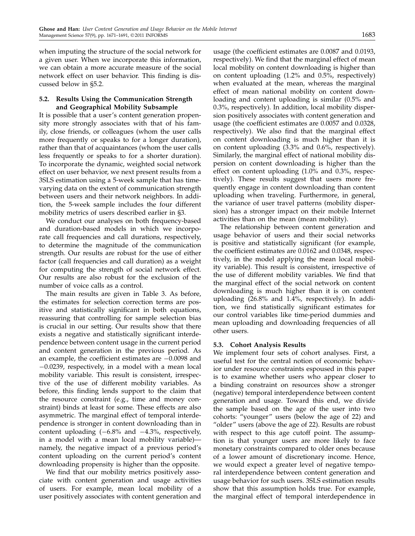when imputing the structure of the social network for a given user. When we incorporate this information, we can obtain a more accurate measure of the social network effect on user behavior. This finding is discussed below in §5.2.

## 5.2. Results Using the Communication Strength and Geographical Mobility Subsample

It is possible that a user's content generation propensity more strongly associates with that of his family, close friends, or colleagues (whom the user calls more frequently or speaks to for a longer duration), rather than that of acquaintances (whom the user calls less frequently or speaks to for a shorter duration). To incorporate the dynamic, weighted social network effect on user behavior, we next present results from a 3SLS estimation using a 5-week sample that has timevarying data on the extent of communication strength between users and their network neighbors. In addition, the 5-week sample includes the four different mobility metrics of users described earlier in §3.

We conduct our analyses on both frequency-based and duration-based models in which we incorporate call frequencies and call durations, respectively, to determine the magnitude of the communication strength. Our results are robust for the use of either factor (call frequencies and call duration) as a weight for computing the strength of social network effect. Our results are also robust for the exclusion of the number of voice calls as a control.

The main results are given in Table 3. As before, the estimates for selection correction terms are positive and statistically significant in both equations, reassuring that controlling for sample selection bias is crucial in our setting. Our results show that there exists a negative and statistically significant interdependence between content usage in the current period and content generation in the previous period. As an example, the coefficient estimates are −0.0098 and −0.0239, respectively, in a model with a mean local mobility variable. This result is consistent, irrespective of the use of different mobility variables. As before, this finding lends support to the claim that the resource constraint (e.g., time and money constraint) binds at least for some. These effects are also asymmetric. The marginal effect of temporal interdependence is stronger in content downloading than in content uploading (−6.8% and −4.3%, respectively, in a model with a mean local mobility variable) namely, the negative impact of a previous period's content uploading on the current period's content downloading propensity is higher than the opposite.

We find that our mobility metrics positively associate with content generation and usage activities of users. For example, mean local mobility of a user positively associates with content generation and usage (the coefficient estimates are 0.0087 and 0.0193, respectively). We find that the marginal effect of mean local mobility on content downloading is higher than on content uploading (1.2% and 0.5%, respectively) when evaluated at the mean, whereas the marginal effect of mean national mobility on content downloading and content uploading is similar (0.5% and 0.3%, respectively). In addition, local mobility dispersion positively associates with content generation and usage (the coefficient estimates are 0.0057 and 0.0328, respectively). We also find that the marginal effect on content downloading is much higher than it is on content uploading (3.3% and 0.6%, respectively). Similarly, the marginal effect of national mobility dispersion on content downloading is higher than the effect on content uploading (1.0% and 0.3%, respectively). These results suggest that users more frequently engage in content downloading than content uploading when traveling. Furthermore, in general, the variance of user travel patterns (mobility dispersion) has a stronger impact on their mobile Internet activities than on the mean (mean mobility).

The relationship between content generation and usage behavior of users and their social networks is positive and statistically significant (for example, the coefficient estimates are 0.0162 and 0.0348, respectively, in the model applying the mean local mobility variable). This result is consistent, irrespective of the use of different mobility variables. We find that the marginal effect of the social network on content downloading is much higher than it is on content uploading (26.8% and 1.4%, respectively). In addition, we find statistically significant estimates for our control variables like time-period dummies and mean uploading and downloading frequencies of all other users.

## 5.3. Cohort Analysis Results

We implement four sets of cohort analyses. First, a useful test for the central notion of economic behavior under resource constraints espoused in this paper is to examine whether users who appear closer to a binding constraint on resources show a stronger (negative) temporal interdependence between content generation and usage. Toward this end, we divide the sample based on the age of the user into two cohorts: "younger" users (below the age of 22) and "older" users (above the age of 22). Results are robust with respect to this age cutoff point. The assumption is that younger users are more likely to face monetary constraints compared to older ones because of a lower amount of discretionary income. Hence, we would expect a greater level of negative temporal interdependence between content generation and usage behavior for such users. 3SLS estimation results show that this assumption holds true. For example, the marginal effect of temporal interdependence in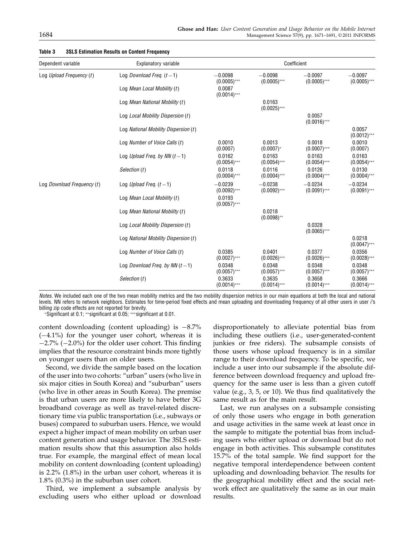| Dependent variable         | Explanatory variable                 | Coefficient                 |                             |                             |                             |
|----------------------------|--------------------------------------|-----------------------------|-----------------------------|-----------------------------|-----------------------------|
| Log Upload Frequency (t)   | Log Download Freq. $(t-1)$           | $-0.0098$<br>$(0.0005)$ *** | $-0.0098$<br>$(0.0005)$ *** | $-0.0097$<br>$(0.0005)$ *** | $-0.0097$<br>$(0.0005)$ *** |
|                            | Log Mean Local Mobility (t)          | 0.0087<br>$(0.0014)$ ***    |                             |                             |                             |
|                            | Log Mean National Mobility (t)       |                             | 0.0163<br>$(0.0025)$ ***    |                             |                             |
|                            | Log Local Mobility Dispersion (t)    |                             |                             | 0.0057<br>$(0.0016)$ ***    |                             |
|                            | Log National Mobility Dispersion (t) |                             |                             |                             | 0.0057<br>$(0.0012)$ ***    |
|                            | Log Number of Voice Calls (t)        | 0.0010<br>(0.0007)          | 0.0013<br>$(0.0007)^*$      | 0.0018<br>$(0.0007)$ ***    | 0.0010<br>(0.0007)          |
|                            | Log Upload Freq. by NN $(t-1)$       | 0.0162<br>$(0.0054)$ ***    | 0.0163<br>$(0.0054)$ ***    | 0.0163<br>$(0.0054)$ ***    | 0.0163<br>$(0.0054)$ ***    |
|                            | Selection (t)                        | 0.0118<br>$(0.0004)$ ***    | 0.0116<br>$(0.0004)$ ***    | 0.0126<br>$(0.0004)$ ***    | 0.0130<br>$(0.0004)$ ***    |
| Log Download Frequency (t) | Log Upload Freq. $(t-1)$             | $-0.0239$<br>$(0.0092)$ *** | $-0.0238$<br>$(0.0092)$ *** | $-0.0234$<br>$(0.0091)$ *** | $-0.0234$<br>$(0.0091)$ *** |
|                            | Log Mean Local Mobility (t)          | 0.0193<br>$(0.0057)$ ***    |                             |                             |                             |
|                            | Log Mean National Mobility (t)       |                             | 0.0218<br>$(0.0098)$ **     |                             |                             |
|                            | Log Local Mobility Dispersion (t)    |                             |                             | 0.0328<br>$(0.0065)$ ***    |                             |
|                            | Log National Mobility Dispersion (t) |                             |                             |                             | 0.0218<br>$(0.0047)$ ***    |
|                            | Log Number of Voice Calls (t)        | 0.0385<br>$(0.0027)$ ***    | 0.0401<br>$(0.0026)$ ***    | 0.0377<br>$(0.0026)$ ***    | 0.0356<br>$(0.0028)$ ***    |
|                            | Log Download Freq. by NN $(t-1)$     | 0.0348<br>$(0.0057)$ ***    | 0.0348<br>$(0.0057)$ ***    | 0.0348<br>$(0.0057)$ ***    | 0.0348<br>$(0.0057)$ ***    |
|                            | Selection (t)                        | 0.3633<br>$(0.0014)$ ***    | 0.3635<br>$(0.0014)$ ***    | 0.3658<br>$(0.0014)$ ***    | 0.3666<br>$(0.0014)$ ***    |

Table 3 3SLS Estimation Results on Content Frequency

Notes. We included each one of the two mean mobility metrics and the two mobility dispersion metrics in our main equations at both the local and national levels. NN refers to network neighbors. Estimates for time-period fixed effects and mean uploading and downloading frequency of all other users in user i's billing zip code effects are not reported for brevity.

<sup>∗</sup>Significant at 0.1; ∗∗significant at 0.05; ∗∗∗significant at 0.01.

content downloading (content uploading) is −8.7% (−4.1%) for the younger user cohort, whereas it is −2.7% (−2.0%) for the older user cohort. This finding implies that the resource constraint binds more tightly on younger users than on older users.

Second, we divide the sample based on the location of the user into two cohorts: "urban" users (who live in six major cities in South Korea) and "suburban" users (who live in other areas in South Korea). The premise is that urban users are more likely to have better 3G broadband coverage as well as travel-related discretionary time via public transportation (i.e., subways or buses) compared to suburban users. Hence, we would expect a higher impact of mean mobility on urban user content generation and usage behavior. The 3SLS estimation results show that this assumption also holds true. For example, the marginal effect of mean local mobility on content downloading (content uploading) is 2.2% (1.8%) in the urban user cohort, whereas it is 1.8% (0.3%) in the suburban user cohort.

Third, we implement a subsample analysis by excluding users who either upload or download

disproportionately to alleviate potential bias from including these outliers (i.e., user-generated-content junkies or free riders). The subsample consists of those users whose upload frequency is in a similar range to their download frequency. To be specific, we include a user into our subsample if the absolute difference between download frequency and upload frequency for the same user is less than a given cutoff value (e.g., 3, 5, or 10). We thus find qualitatively the same result as for the main result.

Last, we run analyses on a subsample consisting of only those users who engage in both generation and usage activities in the same week at least once in the sample to mitigate the potential bias from including users who either upload or download but do not engage in both activities. This subsample constitutes 15.7% of the total sample. We find support for the negative temporal interdependence between content uploading and downloading behavior. The results for the geographical mobility effect and the social network effect are qualitatively the same as in our main results.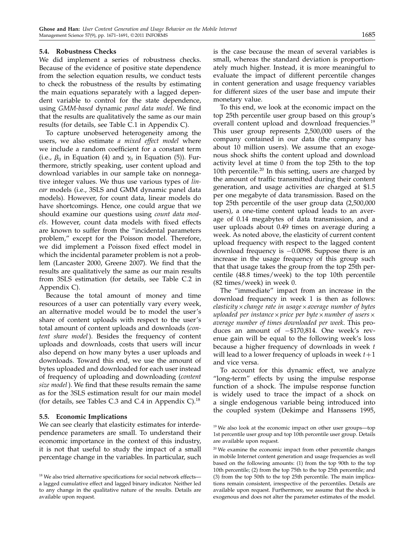We did implement a series of robustness checks. Because of the evidence of positive state dependence from the selection equation results, we conduct tests to check the robustness of the results by estimating the main equations separately with a lagged dependent variable to control for the state dependence, using GMM-based dynamic panel data model. We find that the results are qualitatively the same as our main results (for details, see Table C.1 in Appendix C).

To capture unobserved heterogeneity among the users, we also estimate a mixed effect model where we include a random coefficient for a constant term (i.e.,  $\beta_0$  in Equation (4) and  $\gamma_0$  in Equation (5)). Furthermore, strictly speaking, user content upload and download variables in our sample take on nonnegative integer values. We thus use various types of linear models (i.e., 3SLS and GMM dynamic panel data models). However, for count data, linear models do have shortcomings. Hence, one could argue that we should examine our questions using count data models. However, count data models with fixed effects are known to suffer from the "incidental parameters problem," except for the Poisson model. Therefore, we did implement a Poisson fixed effect model in which the incidental parameter problem is not a problem (Lancaster 2000, Greene 2007). We find that the results are qualitatively the same as our main results from 3SLS estimation (for details, see Table C.2 in Appendix C).

Because the total amount of money and time resources of a user can potentially vary every week, an alternative model would be to model the user's share of content uploads with respect to the user's total amount of content uploads and downloads (content share model). Besides the frequency of content uploads and downloads, costs that users will incur also depend on how many bytes a user uploads and downloads. Toward this end, we use the amount of bytes uploaded and downloaded for each user instead of frequency of uploading and downloading (content size model). We find that these results remain the same as for the 3SLS estimation result for our main model (for details, see Tables C.3 and C.4 in Appendix C).<sup>18</sup>

#### 5.5. Economic Implications

We can see clearly that elasticity estimates for interdependence parameters are small. To understand their economic importance in the context of this industry, it is not that useful to study the impact of a small percentage change in the variables. In particular, such is the case because the mean of several variables is small, whereas the standard deviation is proportionately much higher. Instead, it is more meaningful to evaluate the impact of different percentile changes in content generation and usage frequency variables for different sizes of the user base and impute their monetary value.

To this end, we look at the economic impact on the top 25th percentile user group based on this group's overall content upload and download frequencies.<sup>19</sup> This user group represents 2,500,000 users of the company contained in our data (the company has about 10 million users). We assume that an exogenous shock shifts the content upload and download activity level at time 0 from the top 25th to the top 10th percentile. $20$  In this setting, users are charged by the amount of traffic transmitted during their content generation, and usage activities are charged at \$1.5 per one megabyte of data transmission. Based on the top 25th percentile of the user group data (2,500,000 users), a one-time content upload leads to an average of 0.14 megabytes of data transmission, and a user uploads about 0.49 times on average during a week. As noted above, the elasticity of current content upload frequency with respect to the lagged content download frequency is −0.0098. Suppose there is an increase in the usage frequency of this group such that that usage takes the group from the top 25th percentile (48.8 times/week) to the top 10th percentile (82 times/week) in week 0.

The "immediate" impact from an increase in the download frequency in week 1 is then as follows: elasticity  $\times$  change rate in usage  $\times$  average number of bytes uploaded per instance  $\times$  price per byte  $\times$  number of users  $\times$ average number of times downloaded per week. This produces an amount of −\$170,814. One week's revenue gain will be equal to the following week's loss because a higher frequency of downloads in week t will lead to a lower frequency of uploads in week  $t+1$ and vice versa.

To account for this dynamic effect, we analyze "long-term" effects by using the impulse response function of a shock. The impulse response function is widely used to trace the impact of a shock on a single endogenous variable being introduced into the coupled system (Dekimpe and Hanssens 1995,

<sup>&</sup>lt;sup>18</sup> We also tried alternative specifications for social network effectsa lagged cumulative effect and lagged binary indicator. Neither led to any change in the qualitative nature of the results. Details are available upon request.

<sup>&</sup>lt;sup>19</sup> We also look at the economic impact on other user groups-top 1st percentile user group and top 10th percentile user group. Details are available upon request.

<sup>&</sup>lt;sup>20</sup> We examine the economic impact from other percentile changes in mobile Internet content generation and usage frequencies as well based on the following amounts: (1) from the top 90th to the top 10th percentile; (2) from the top 75th to the top 25th percentile; and (3) from the top 50th to the top 25th percentile. The main implications remain consistent, irrespective of the percentiles. Details are available upon request. Furthermore, we assume that the shock is exogenous and does not alter the parameter estimates of the model.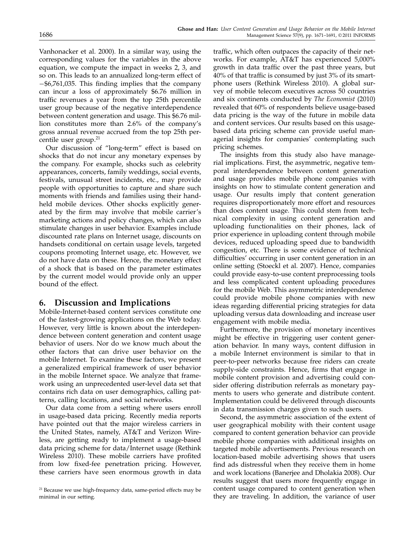Vanhonacker et al. 2000). In a similar way, using the corresponding values for the variables in the above equation, we compute the impact in weeks 2, 3, and so on. This leads to an annualized long-term effect of −\$6,761,035. This finding implies that the company can incur a loss of approximately \$6.76 million in traffic revenues a year from the top 25th percentile user group because of the negative interdependence between content generation and usage. This \$6.76 million constitutes more than 2.6% of the company's gross annual revenue accrued from the top 25th percentile user group.<sup>21</sup>

Our discussion of "long-term" effect is based on shocks that do not incur any monetary expenses by the company. For example, shocks such as celebrity appearances, concerts, family weddings, social events, festivals, unusual street incidents, etc., may provide people with opportunities to capture and share such moments with friends and families using their handheld mobile devices. Other shocks explicitly generated by the firm may involve that mobile carrier's marketing actions and policy changes, which can also stimulate changes in user behavior. Examples include discounted rate plans on Internet usage, discounts on handsets conditional on certain usage levels, targeted coupons promoting Internet usage, etc. However, we do not have data on these. Hence, the monetary effect of a shock that is based on the parameter estimates by the current model would provide only an upper bound of the effect.

# 6. Discussion and Implications

Mobile-Internet-based content services constitute one of the fastest-growing applications on the Web today. However, very little is known about the interdependence between content generation and content usage behavior of users. Nor do we know much about the other factors that can drive user behavior on the mobile Internet. To examine these factors, we present a generalized empirical framework of user behavior in the mobile Internet space. We analyze that framework using an unprecedented user-level data set that contains rich data on user demographics, calling patterns, calling locations, and social networks.

Our data come from a setting where users enroll in usage-based data pricing. Recently media reports have pointed out that the major wireless carriers in the United States, namely, AT&T and Verizon Wireless, are getting ready to implement a usage-based data pricing scheme for data/Internet usage (Rethink Wireless 2010). These mobile carriers have profited from low fixed-fee penetration pricing. However, these carriers have seen enormous growth in data

traffic, which often outpaces the capacity of their networks. For example, AT&T has experienced 5,000% growth in data traffic over the past three years, but 40% of that traffic is consumed by just 3% of its smartphone users (Rethink Wireless 2010). A global survey of mobile telecom executives across 50 countries and six continents conducted by The Economist (2010) revealed that 60% of respondents believe usage-based data pricing is the way of the future in mobile data and content services. Our results based on this usagebased data pricing scheme can provide useful managerial insights for companies' contemplating such pricing schemes.

The insights from this study also have managerial implications. First, the asymmetric, negative temporal interdependence between content generation and usage provides mobile phone companies with insights on how to stimulate content generation and usage. Our results imply that content generation requires disproportionately more effort and resources than does content usage. This could stem from technical complexity in using content generation and uploading functionalities on their phones, lack of prior experience in uploading content through mobile devices, reduced uploading speed due to bandwidth congestion, etc. There is some evidence of technical difficulties' occurring in user content generation in an online setting (Stoeckl et al. 2007). Hence, companies could provide easy-to-use content preprocessing tools and less complicated content uploading procedures for the mobile Web. This asymmetric interdependence could provide mobile phone companies with new ideas regarding differential pricing strategies for data uploading versus data downloading and increase user engagement with mobile media.

Furthermore, the provision of monetary incentives might be effective in triggering user content generation behavior. In many ways, content diffusion in a mobile Internet environment is similar to that in peer-to-peer networks because free riders can create supply-side constraints. Hence, firms that engage in mobile content provision and advertising could consider offering distribution referrals as monetary payments to users who generate and distribute content. Implementation could be delivered through discounts in data transmission charges given to such users.

Second, the asymmetric association of the extent of user geographical mobility with their content usage compared to content generation behavior can provide mobile phone companies with additional insights on targeted mobile advertisements. Previous research on location-based mobile advertising shows that users find ads distressful when they receive them in home and work locations (Banerjee and Dholakia 2008). Our results suggest that users more frequently engage in content usage compared to content generation when they are traveling. In addition, the variance of user

<sup>&</sup>lt;sup>21</sup> Because we use high-frequency data, same-period effects may be minimal in our setting.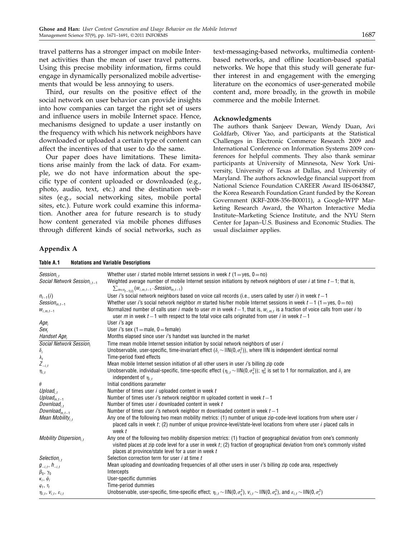travel patterns has a stronger impact on mobile Internet activities than the mean of user travel patterns. Using this precise mobility information, firms could engage in dynamically personalized mobile advertisements that would be less annoying to users.

Third, our results on the positive effect of the social network on user behavior can provide insights into how companies can target the right set of users and influence users in mobile Internet space. Hence, mechanisms designed to update a user instantly on the frequency with which his network neighbors have downloaded or uploaded a certain type of content can affect the incentives of that user to do the same.

Our paper does have limitations. These limitations arise mainly from the lack of data. For example, we do not have information about the specific type of content uploaded or downloaded (e.g., photo, audio, text, etc.) and the destination websites (e.g., social networking sites, mobile portal sites, etc.). Future work could examine this information. Another area for future research is to study how content generated via mobile phones diffuses through different kinds of social networks, such as text-messaging-based networks, multimedia contentbased networks, and offline location-based spatial networks. We hope that this study will generate further interest in and engagement with the emerging literature on the economics of user-generated mobile content and, more broadly, in the growth in mobile commerce and the mobile Internet.

## Acknowledgments

The authors thank Sanjeev Dewan, Wendy Duan, Avi Goldfarb, Oliver Yao, and participants at the Statistical Challenges in Electronic Commerce Research 2009 and International Conference on Information Systems 2009 conferences for helpful comments. They also thank seminar participants at University of Minnesota, New York University, University of Texas at Dallas, and University of Maryland. The authors acknowledge financial support from National Science Foundation CAREER Award IIS-0643847, the Korea Research Foundation Grant funded by the Korean Government (KRF-2008-356-B00011), a Google-WPP Marketing Research Award, the Wharton Interactive Media Institute–Marketing Science Institute, and the NYU Stern Center for Japan–U.S. Business and Economic Studies. The usual disclaimer applies.

## Appendix A

| Table A.1 |  | <b>Notations and Variable Descriptions</b> |
|-----------|--|--------------------------------------------|
|           |  |                                            |

| Whether user <i>i</i> started mobile Internet sessions in week <i>t</i> (1=yes, 0=no)                                                                                                                                                             |
|---------------------------------------------------------------------------------------------------------------------------------------------------------------------------------------------------------------------------------------------------|
| Weighted average number of mobile Internet session initiations by network neighbors of user <i>i</i> at time $t-1$ ; that is,                                                                                                                     |
| User <i>i</i> 's social network neighbors based on voice call records (i.e., users called by user <i>i</i> ) in week $t-1$                                                                                                                        |
| Whether user i's social network neighbor m started his/her mobile Internet sessions in week $t-1$ (1=yes, 0=no)                                                                                                                                   |
| Normalized number of calls user i made to user m in week $t-1$ , that is, $w_{i,m,t}$ is a fraction of voice calls from user i to<br>user m in week $t-1$ with respect to the total voice calls originated from user i in week $t-1$              |
|                                                                                                                                                                                                                                                   |
|                                                                                                                                                                                                                                                   |
|                                                                                                                                                                                                                                                   |
| Time mean mobile Internet session initiation by social network neighbors of user i                                                                                                                                                                |
| Unobservable, user-specific, time-invariant effect $(\delta_i \sim \text{IIN}(0, \sigma_s^2))$ , where IIN is independent identical normal                                                                                                        |
|                                                                                                                                                                                                                                                   |
| Mean mobile Internet session initiation of all other users in user <i>i</i> 's billing zip code                                                                                                                                                   |
| Unobservable, individual-specific, time-specific effect $(\eta_{i,t} \sim \text{IIN}(0, \sigma_n^2))$ ; $\eta_n^2$ is set to 1 for normalization, and $\delta_i$ are                                                                              |
|                                                                                                                                                                                                                                                   |
|                                                                                                                                                                                                                                                   |
| Number of times user i's network neighbor m uploaded content in week $t-1$                                                                                                                                                                        |
|                                                                                                                                                                                                                                                   |
| Number of times user i's network neighbor m downloaded content in week $t-1$                                                                                                                                                                      |
| Any one of the following two mean mobility metrics: (1) number of unique zip-code-level locations from where user i<br>placed calls in week t; (2) number of unique province-level/state-level locations from where user i placed calls in        |
| Any one of the following two mobility dispersion metrics: (1) fraction of geographical deviation from one's commonly<br>visited places at zip code level for a user in week t; (2) fraction of geographical deviation from one's commonly visited |
|                                                                                                                                                                                                                                                   |
| Mean uploading and downloading frequencies of all other users in user i's billing zip code area, respectively                                                                                                                                     |
|                                                                                                                                                                                                                                                   |
|                                                                                                                                                                                                                                                   |
|                                                                                                                                                                                                                                                   |
| Unobservable, user-specific, time-specific effect; $\eta_{i,t} \sim \text{IIN}(0, \sigma_n^2)$ , $v_{i,t} \sim \text{IIN}(0, \sigma_n^2)$ , and $\varepsilon_{i,t} \sim \text{IIN}(0, \sigma_\varepsilon^2)$                                      |
|                                                                                                                                                                                                                                                   |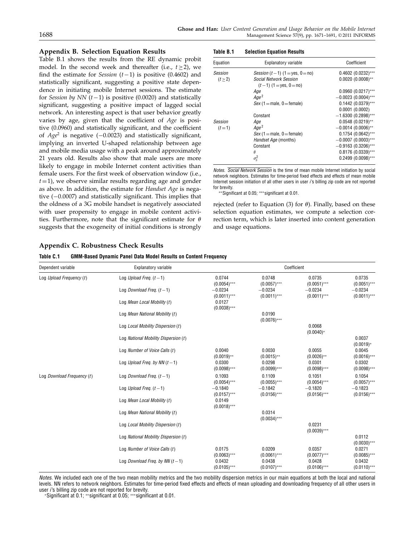#### Appendix B. Selection Equation Results

Table B.1 shows the results from the RE dynamic probit model. In the second week and thereafter (i.e.,  $t \geq 2$ ), we find the estimate for *Session*  $(t-1)$  is positive (0.4602) and statistically significant, suggesting a positive state dependence in initiating mobile Internet sessions. The estimate for Session by NN  $(t-1)$  is positive (0.0020) and statistically significant, suggesting a positive impact of lagged social network. An interesting aspect is that user behavior greatly varies by age, given that the coefficient of Age is positive (0.0960) and statistically significant, and the coefficient of  $Age^2$  is negative (-0.0023) and statistically significant, implying an inverted U-shaped relationship between age and mobile media usage with a peak around approximately 21 years old. Results also show that male users are more likely to engage in mobile Internet content activities than female users. For the first week of observation window (i.e.,  $t=1$ ), we observe similar results regarding age and gender as above. In addition, the estimate for Handset Age is negative (−0.0007) and statistically significant. This implies that the oldness of a 3G mobile handset is negatively associated with user propensity to engage in mobile content activities. Furthermore, note that the significant estimate for  $\theta$ suggests that the exogeneity of initial conditions is strongly

#### Table B.1 Selection Equation Results

| Equation     | Explanatory variable                                       | Coefficient           |
|--------------|------------------------------------------------------------|-----------------------|
| Session      | <i>Session</i> $(t - 1)$ $(1 = \text{ves}, 0 = \text{no})$ | $0.4602(0.0232)***$   |
| $(t \geq 2)$ | <b>Social Network Session</b><br>$(t-1)$ (1 = yes, 0 = no) | $0.0020(0.0008)$ **   |
|              | Age                                                        | $0.0960(0.0217)$ ***  |
|              | Aae <sup>2</sup>                                           | $-0.0023(0.0004)$ *** |
|              | $Sex (1 = male, 0 = female)$                               | $0.1442(0.0379)***$   |
|              |                                                            | 0.0001(0.0002)        |
|              | Constant                                                   | $-1.6300(0.2898)$ *** |
| Session      | Age                                                        | $0.0548(0.0219)$ **   |
| $(t = 1)$    | Aae <sup>2</sup>                                           | $-0.0014(0.0006)$ **  |
|              | $Sex (1 = male, 0 = female)$                               | $0.1754(0.0642)***$   |
|              | Handset Age (months)                                       | $-0.0007(0.0003)***$  |
|              | Constant                                                   | $-0.9163(0.3206)$ *** |
|              | θ                                                          | $0.8176(0.0339)$ ***  |
|              | $\sigma_{\delta}^2$                                        | $0.2499(0.0098)***$   |
|              |                                                            |                       |

Notes. Social Network Session is the time of mean mobile Internet initiation by social network neighbors. Estimates for time-period fixed effects and effects of mean mobile Internet session initiation of all other users in user i's billing zip code are not reported for brevity.

∗∗Significant at 0.05; ∗∗∗significant at 0.01.

rejected (refer to Equation (3) for  $\theta$ ). Finally, based on these selection equation estimates, we compute a selection correction term, which is later inserted into content generation and usage equations.

#### Appendix C. Robustness Check Results

| Table C.1 | <b>GMM-Based Dynamic Panel Data Model Results on Content Frequency</b> |  |
|-----------|------------------------------------------------------------------------|--|
|-----------|------------------------------------------------------------------------|--|

| Dependent variable         | Explanatory variable                 | Coefficient                 |                             |                             |                             |
|----------------------------|--------------------------------------|-----------------------------|-----------------------------|-----------------------------|-----------------------------|
| Log Upload Frequency (t)   | Log Upload Freq. $(t-1)$             | 0.0744<br>$(0.0054)$ ***    | 0.0748<br>$(0.0057)$ ***    | 0.0735<br>$(0.0051)$ ***    | 0.0735<br>$(0.0051)$ ***    |
|                            | Log Download Freq. $(t-1)$           | $-0.0234$<br>$(0.0011)$ *** | $-0.0234$<br>$(0.0011)$ *** | $-0.0234$<br>$(0.0011)$ *** | $-0.0234$<br>$(0.0011)$ *** |
|                            | Log Mean Local Mobility (t)          | 0.0127<br>$(0.0038)$ ***    |                             |                             |                             |
|                            | Log Mean National Mobility (t)       |                             | 0.0190<br>$(0.0076)$ ***    |                             |                             |
|                            | Log Local Mobility Dispersion (t)    |                             |                             | 0.0068<br>$(0.0040)*$       |                             |
|                            | Log National Mobility Dispersion (t) |                             |                             |                             | 0.0037<br>$(0.0019)*$       |
|                            | Log Number of Voice Calls (t)        | 0.0040<br>$(0.0019)$ **     | 0.0030<br>$(0.0015)$ **     | 0.0055<br>$(0.0026)$ **     | 0.0045<br>$(0.0016)$ ***    |
|                            | Log Upload Freq. by NN $(t-1)$       | 0.0300<br>$(0.0098)$ ***    | 0.0298<br>$(0.0099)$ ***    | 0.0301<br>$(0.0098)$ ***    | 0.0302<br>$(0.0098)$ ***    |
| Log Download Frequency (t) | Log Download Freq. $(t-1)$           | 0.1093<br>$(0.0054)$ ***    | 0.1109<br>$(0.0055)$ ***    | 0.1051<br>$(0.0054)$ ***    | 0.1054<br>$(0.0057)$ ***    |
|                            | Log Upload Freq. $(t-1)$             | $-0.1840$<br>$(0.0157)$ *** | $-0.1842$<br>$(0.0156)$ *** | $-0.1820$<br>$(0.0156)$ *** | $-0.1823$<br>$(0.0156)$ *** |
|                            | Log Mean Local Mobility (t)          | 0.0149<br>$(0.0018)$ ***    |                             |                             |                             |
|                            | Log Mean National Mobility (t)       |                             | 0.0314<br>$(0.0034)$ ***    |                             |                             |
|                            | Log Local Mobility Dispersion (t)    |                             |                             | 0.0231<br>$(0.0039)$ ***    |                             |
|                            | Log National Mobility Dispersion (t) |                             |                             |                             | 0.0112<br>$(0.0030)$ ***    |
|                            | Log Number of Voice Calls (t)        | 0.0175<br>$(0.0063)$ ***    | 0.0209<br>$(0.0061)$ ***    | 0.0357<br>$(0.0077)$ ***    | 0.0271<br>$(0.0085)$ ***    |
|                            | Log Download Freq. by NN $(t-1)$     | 0.0432<br>$(0.0105)$ ***    | 0.0438<br>$(0.0107)$ ***    | 0.0428<br>$(0.0106)$ ***    | 0.0432<br>$(0.0110)$ ***    |

Notes. We included each one of the two mean mobility metrics and the two mobility dispersion metrics in our main equations at both the local and national levels. NN refers to network neighbors. Estimates for time-period fixed effects and effects of mean uploading and downloading frequency of all other users in user *i's* billing zip code are not reported for brevity.

<sup>∗</sup>Significant at 0.1; ∗∗significant at 0.05; ∗∗∗significant at 0.01.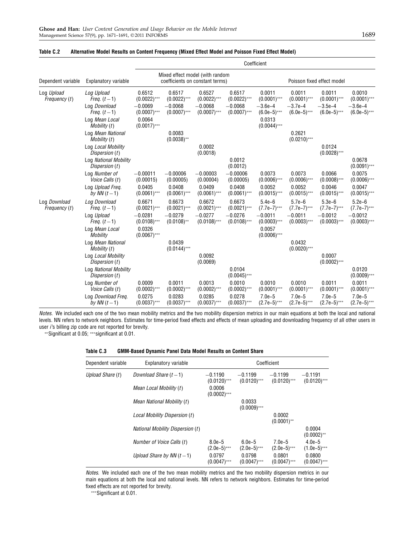|                               |                                         | Coefficient                                                        |                             |                             |                             |                             |                             |                             |                             |
|-------------------------------|-----------------------------------------|--------------------------------------------------------------------|-----------------------------|-----------------------------|-----------------------------|-----------------------------|-----------------------------|-----------------------------|-----------------------------|
| Dependent variable            | Explanatory variable                    | Mixed effect model (with random<br>coefficients on constant terms) |                             |                             | Poisson fixed effect model  |                             |                             |                             |                             |
| Log Upload<br>Frequency (t)   | Log Upload<br>Freq. $(t-1)$             | 0.6512<br>$(0.0022)$ ***                                           | 0.6517<br>$(0.0022)$ ***    | 0.6527<br>$(0.0022)$ ***    | 0.6517<br>$(0.0022)$ ***    | 0.0011<br>$(0.0001)$ ***    | 0.0011<br>$(0.0001)$ ***    | 0.0011<br>$(0.0001)$ ***    | 0.0010<br>$(0.0001)$ ***    |
|                               | Log Download<br>Freq. $(t-1)$           | $-0.0069$<br>$(0.0007)$ ***                                        | $-0.0068$<br>$(0.0007)$ *** | $-0.0068$<br>$(0.0007)$ *** | $-0.0068$<br>$(0.0007)$ *** | $-3.6e-4$<br>$(6.0e-5)$ *** | $-3.7e-4$<br>$(6.0e-5)$ *** | $-3.5e-4$<br>$(6.0e-5)$ *** | $-3.6e-4$<br>$(6.0e-5)$ *** |
|                               | Log Mean Local<br>Mobility (t)          | 0.0064<br>$(0.0017)$ ***                                           |                             |                             |                             | 0.0313<br>$(0.0044)$ ***    |                             |                             |                             |
|                               | Log Mean National<br>Mobility (t)       |                                                                    | 0.0083<br>$(0.0038)$ **     |                             |                             |                             | 0.2621<br>$(0.0210)$ ***    |                             |                             |
|                               | Log Local Mobility<br>Dispersion (t)    |                                                                    |                             | 0.0002<br>(0.0018)          |                             |                             |                             | 0.0124<br>$(0.0028)$ ***    |                             |
|                               | Log National Mobility<br>Dispersion (t) |                                                                    |                             |                             | 0.0012<br>(0.0012)          |                             |                             |                             | 0.0678<br>$(0.0091)$ ***    |
|                               | Log Number of<br>Voice Calls (t)        | $-0.00011$<br>(0.00015)                                            | $-0.00006$<br>(0.00005)     | $-0.00003$<br>(0.00004)     | $-0.00006$<br>(0.00005)     | 0.0073<br>$(0.0006)$ ***    | 0.0073<br>$(0.0006)$ ***    | 0.0066<br>$(0.0008)$ ***    | 0.0075<br>$(0.0006)$ ***    |
|                               | Log Upload Freg.<br>by $NN(t-1)$        | 0.0405<br>$(0.0061)$ ***                                           | 0.0408<br>$(0.0061)$ ***    | 0.0409<br>$(0.0061)$ ***    | 0.0408<br>$(0.0061)$ ***    | 0.0052<br>$(0.0015)$ ***    | 0.0052<br>$(0.0015)$ ***    | 0.0046<br>$(0.0015)$ ***    | 0.0047<br>$(0.0015)$ ***    |
| Log Download<br>Frequency (t) | Loa Download<br>Freq. $(t-1)$           | 0.6671<br>$(0.0021)$ ***                                           | 0.6673<br>$(0.0021)$ ***    | 0.6672<br>$(0.0021)$ ***    | 0.6673<br>$(0.0021)$ ***    | $5.4e-6$<br>$(7.7e-7)$ ***  | $5.7e-6$<br>$(7.7e-7)$ ***  | $5.3e-6$<br>$(7.7e-7)$ ***  | $5.2e-6$<br>$(7.7e-7)$ ***  |
|                               | Log Upload<br>Freq. $(t-1)$             | $-0.0281$<br>$(0.0108)$ ***                                        | $-0.0279$<br>$(0.0108)$ **  | $-0.0277$<br>$(0.0108)$ *** | $-0.0276$<br>$(0.0108)$ *** | $-0.0011$<br>$(0.0003)$ *** | $-0.0011$<br>$(0.0003)$ *** | $-0.0012$<br>$(0.0003)$ *** | $-0.0012$<br>$(0.0003)$ *** |
|                               | Log Mean Local<br>Mobility              | 0.0326<br>$(0.0067)$ ***                                           |                             |                             |                             | 0.0057<br>$(0.0006)$ ***    |                             |                             |                             |
|                               | Log Mean National<br>Mobility (t)       |                                                                    | 0.0439<br>$(0.0144)$ ***    |                             |                             |                             | 0.0432<br>$(0.0020)$ ***    |                             |                             |
|                               | Log Local Mobility<br>Dispersion (t)    |                                                                    |                             | 0.0092<br>(0.0069)          |                             |                             |                             | 0.0007<br>$(0.0002)$ ***    |                             |
|                               | Log National Mobility<br>Dispersion (t) |                                                                    |                             |                             | 0.0104<br>$(0.0045)$ ***    |                             |                             |                             | 0.0120<br>$(0.0009)$ ***    |
|                               | Log Number of<br>Voice Calls (t)        | 0.0009<br>$(0.0002)$ ***                                           | 0.0011<br>$(0.0002)$ ***    | 0.0013<br>$(0.0002)$ ***    | 0.0010<br>$(0.0002)$ ***    | 0.0010<br>$(0.0001)$ ***    | 0.0010<br>$(0.0001)$ ***    | 0.0011<br>$(0.0001)$ ***    | 0.0011<br>$(0.0001)$ ***    |
|                               | Log Download Freg.<br>by $NN(t-1)$      | 0.0275<br>$(0.0037)$ ***                                           | 0.0283<br>$(0.0037)$ ***    | 0.0285<br>$(0.0037)$ ***    | 0.0278<br>$(0.0037)$ ***    | $7.0e-5$<br>$(2.7e-5)$ ***  | $7.0e-5$<br>$(2.7e-5)$ ***  | $7.0e-5$<br>$(2.7e-5)$ ***  | $7.0e-5$<br>$(2.7e-5)$ ***  |

#### Table C.2 Alternative Model Results on Content Frequency (Mixed Effect Model and Poisson Fixed Effect Model)

Notes. We included each one of the two mean mobility metrics and the two mobility dispersion metrics in our main equations at both the local and national levels. NN refers to network neighbors. Estimates for time-period fixed effects and effects of mean uploading and downloading frequency of all other users in user *i*'s billing zip code are not reported for brevity.

∗∗Significant at 0.05; ∗∗∗significant at 0.01.

#### Table C.3 GMM-Based Dynamic Panel Data Model Results on Content Share

| Dependent variable | Explanatory variable                    | Coefficient                 |                             |                             |                             |  |
|--------------------|-----------------------------------------|-----------------------------|-----------------------------|-----------------------------|-----------------------------|--|
| Upload Share (t)   | Download Share $(t-1)$                  | $-0.1190$<br>$(0.0120)$ *** | $-0.1199$<br>$(0.0120)$ *** | $-0.1199$<br>$(0.0120)$ *** | $-0.1191$<br>$(0.0120)$ *** |  |
|                    | Mean Local Mobility (t)                 | 0.0006<br>$(0.0002)$ ***    |                             |                             |                             |  |
|                    | Mean National Mobility (t)              |                             | 0.0033<br>$(0.0009)$ ***    |                             |                             |  |
|                    | Local Mobility Dispersion (t)           |                             |                             | 0.0002<br>$(0.0001)$ **     |                             |  |
|                    | <b>National Mobility Dispersion (t)</b> |                             |                             |                             | 0.0004<br>$(0.0002)$ **     |  |
|                    | Number of Voice Calls (t)               | $8.0e-5$<br>$(2.0e-5)$ ***  | $6.0e-5$<br>$(2.0e-5)$ ***  | $7.0e-5$<br>$(2.0e-5)$ ***  | $4.0e-5$<br>$(1.0e-5)$ ***  |  |
|                    | Upload Share by NN $(t-1)$              | 0.0797<br>$(0.0047)$ ***    | 0.0798<br>$(0.0047)$ ***    | 0.0801<br>$(0.0047)$ ***    | 0.0800<br>$(0.0047)$ ***    |  |

Notes. We included each one of the two mean mobility metrics and the two mobility dispersion metrics in our main equations at both the local and national levels. NN refers to network neighbors. Estimates for time-period fixed effects are not reported for brevity.

∗∗∗Significant at 0.01.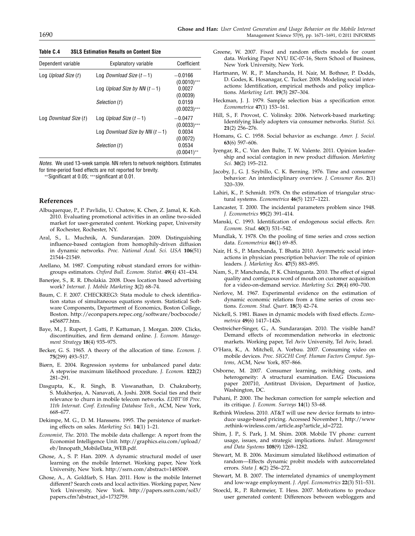Table C.4 3SLS Estimation Results on Content Size

| Dependent variable                    | Explanatory variable                   | Coefficient                          |
|---------------------------------------|----------------------------------------|--------------------------------------|
| Log <i>Upload Size</i> ( <i>t</i> )   | Log <i>Download Size</i> $(t-1)$       | $-0.0166$                            |
|                                       | Log Upload Size by NN $(t-1)$          | $(0.0010)$ ***<br>0.0027<br>(0.0039) |
|                                       | Selection (t)                          | 0.0159<br>$(0.0023)$ ***             |
| Log <i>Download Size</i> ( <i>t</i> ) | Log <i>Upload Size</i> $(t-1)$         | $-0.0477$<br>$(0.0033)$ ***          |
|                                       | Log <i>Download Size by NN</i> $(t-1)$ | 0.0034                               |
|                                       | Selection (t)                          | (0.0072)<br>0.0534<br>$(0.0041)$ **  |

Notes. We used 13-week sample. NN refers to network neighbors. Estimates for time-period fixed effects are not reported for brevity.

∗∗Significant at 0.05; ∗∗∗significant at 0.01.

#### References

- Albuquerque, P., P. Pavlidis, U. Chatow, K. Chen, Z. Jamal, K. Koh. 2010. Evaluating promotional activities in an online two-sided market for user-generated content. Working paper, University of Rochester, Rochester, NY.
- Aral, S., L. Muchnik, A. Sundararajan. 2009. Distinguishing influence-based contagion from homophily-driven diffusion in dynamic networks. Proc. National Acad. Sci. USA 106(51) 21544–21549.
- Arellano, M. 1987. Computing robust standard errors for withingroups estimators. Oxford Bull. Econom. Statist. 49(4) 431–434.
- Banerjee, S., R. R. Dholakia. 2008. Does location based advertising work? Internat. J. Mobile Marketing 3(2) 68–74.
- Baum, C. F. 2007. CHECKREG3: Stata module to check identification status of simultaneous equations system. Statistical Software Components, Department of Economics, Boston College, Boston. http://econpapers.repec.org/software/bocbocode/ s456877.htm.
- Baye, M., J. Rupert, J. Gatti, P. Kattuman, J. Morgan. 2009. Clicks, discontinuities, and firm demand online. J. Econom. Management Strategy 18(4) 935–975.
- Becker, G. S. 1965. A theory of the allocation of time. Econom. J. 75(299) 493–517.
- Biørn, E. 2004. Regression systems for unbalanced panel data: A stepwise maximum likelihood procedure. J. Econom. 122(2) 281–291.
- Dasgupta, K., R. Singh, B. Viswanathan, D. Chakraborty, S. Mukherjea, A. Nanavati, A. Joshi. 2008. Social ties and their relevance to churn in mobile telecom networks. EDBT'08 Proc. 11th Internat. Conf. Extending Database Tech., ACM, New York, 668–677.
- Dekimpe, M. G., D. M. Hanssens. 1995. The persistence of marketing effects on sales. Marketing Sci. 14(1) 1–21.
- Economist, The. 2010. The mobile data challenge: A report from the Economist Intelligence Unit. http://graphics.eiu.com/upload/ eb/Innopath\_MobileData\_WEB.pdf.
- Ghose, A., S. P. Han. 2009. A dynamic structural model of user learning on the mobile Internet. Working paper, New York University, New York. http://ssrn.com/abstract=1485049.
- Ghose, A., A. Goldfarb, S. Han. 2011. How is the mobile Internet different? Search costs and local activities. Working paper, New York University, New York. http://papers.ssrn.com/sol3/ papers.cfm?abstract\_id=1732759.
- Greene, W. 2007. Fixed and random effects models for count data. Working Paper NYU EC-07-16, Stern School of Business, New York University, New York.
- Hartmann, W. R., P. Manchanda, H. Nair, M. Bothner, P. Dodds, D. Godes, K. Hosanagar, C. Tucker. 2008. Modeling social interactions: Identification, empirical methods and policy implications. Marketing Lett. 19(3) 287–304.
- Heckman, J. J. 1979. Sample selection bias a specification error. Econometrica 47(1) 153–161.
- Hill, S., F. Provost, C. Volinsky. 2006. Network-based marketing: Identifying likely adopters via consumer networks. Statist. Sci. 21(2) 256–276.
- Homans, G. C. 1958. Social behavior as exchange. Amer. J. Sociol. 63(6) 597–606.
- Iyengar, R., C. Van den Bulte, T. W. Valente. 2011. Opinion leadership and social contagion in new product diffusion. Marketing Sci. 30(2) 195–212.
- Jacoby, J., G. J. Szybillo, C. K. Berning. 1976. Time and consumer behavior: An interdisciplinary overview. J. Consumer Res. 2(1) 320–339.
- Lahiri, K., P. Schmidt. 1978. On the estimation of triangular structural systems. Econometrica 46(5) 1217–1221.
- Lancaster, T. 2000. The incidental parameters problem since 1948. J. Econometrics 95(2) 391–414.
- Manski, C. 1993. Identification of endogenous social effects. Rev. Econom. Stud. 60(3) 531–542.
- Mundlak, Y. 1978. On the pooling of time series and cross section data. Econometrica 46(1) 69–85.
- Nair, H. S., P. Manchanda, T. Bhatia 2010. Asymmetric social interactions in physician prescription behavior: The role of opinion leaders. J. Marketing Res. 47(5) 883–895.
- Nam, S., P. Manchanda, P. K. Chintagunta. 2010. The effect of signal quality and contiguous word of mouth on customer acquisition for a video-on-demand service. Marketing Sci. 29(4) 690–700.
- Nerlove, M. 1967. Experimental evidence on the estimation of dynamic economic relations from a time series of cross sections. Econom. Stud. Quart. 18(3) 42–74.
- Nickell, S. 1981. Biases in dynamic models with fixed effects. Econometrica 49(6) 1417–1426.
- Oestreicher-Singer, G., A. Sundararajan. 2010. The visible hand? Demand effects of recommendation networks in electronic markets. Working paper, Tel Aviv University, Tel Aviv, Israel.
- O'Hara, K., A. Mitchell, A. Vorbau. 2007. Consuming video on mobile devices. Proc. SIGCHI Conf. Human Factors Comput. Systems, ACM, New York, 857–866.
- Osborne, M. 2007. Consumer learning, switching costs, and heterogeneity: A structural examination. EAG Discussions paper 200710, Antitrust Division, Department of Justice, Washington, DC.
- Puhani, P. 2000. The heckman correction for sample selection and its critique. J. Econom. Surveys 14(1) 53–68.
- Rethink Wireless. 2010. AT&T will use new device formats to introduce usage-based pricing. Accessed November 1, http://www .rethink-wireless.com/article.asp?article\_id=2722.
- Shim, J. P., S. Park, J. M. Shim. 2008. Mobile TV phone: current usage, issues, and strategic implications. Indust. Management and Data Systems 108(9) 1269–1282.
- Stewart, M. B. 2006. Maximum simulated likelihood estimation of random—Effects dynamic probit models with autocorrelated errors. Stata J. 6(2) 256–272.
- Stewart, M. B. 2007. The interrelated dynamics of unemployment and low-wage employment. J. Appl. Econometrics 22(3) 511–531.
- Stoeckl, R., P. Rohrmeier, T. Hess. 2007. Motivations to produce user generated content: Differences between webloggers and